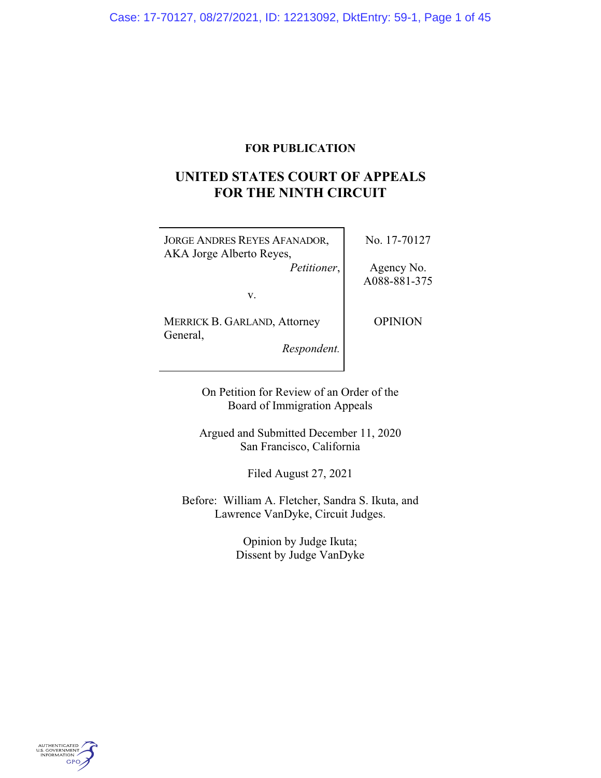# **FOR PUBLICATION**

# **UNITED STATES COURT OF APPEALS FOR THE NINTH CIRCUIT**

JORGE ANDRES REYES AFANADOR, AKA Jorge Alberto Reyes, *Petitioner*, No. 17-70127

Agency No. A088-881-375

v.

MERRICK B. GARLAND, Attorney General,

OPINION

*Respondent.*

On Petition for Review of an Order of the Board of Immigration Appeals

Argued and Submitted December 11, 2020 San Francisco, California

Filed August 27, 2021

Before: William A. Fletcher, Sandra S. Ikuta, and Lawrence VanDyke, Circuit Judges.

> Opinion by Judge Ikuta; Dissent by Judge VanDyke

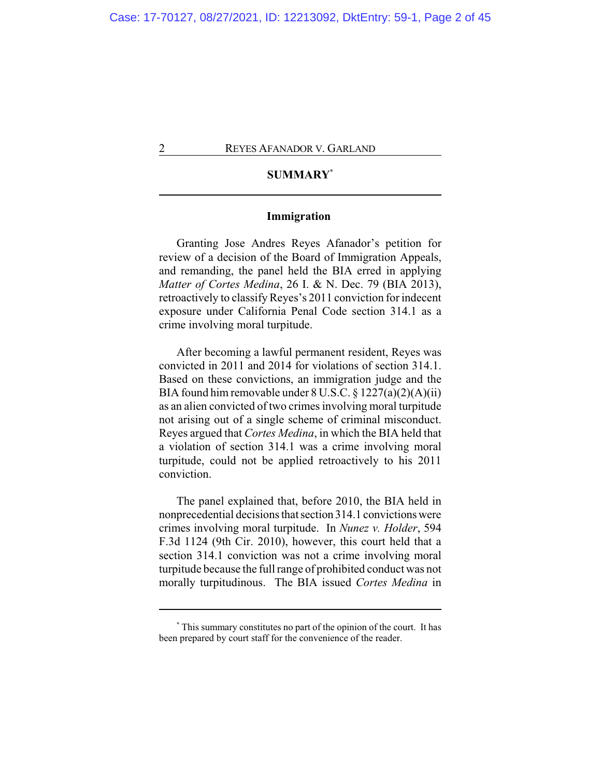# **SUMMARY\***

# **Immigration**

Granting Jose Andres Reyes Afanador's petition for review of a decision of the Board of Immigration Appeals, and remanding, the panel held the BIA erred in applying *Matter of Cortes Medina*, 26 I. & N. Dec. 79 (BIA 2013), retroactively to classify Reyes's 2011 conviction for indecent exposure under California Penal Code section 314.1 as a crime involving moral turpitude.

After becoming a lawful permanent resident, Reyes was convicted in 2011 and 2014 for violations of section 314.1. Based on these convictions, an immigration judge and the BIA found him removable under 8 U.S.C. § 1227(a)(2)(A)(ii) as an alien convicted of two crimes involving moral turpitude not arising out of a single scheme of criminal misconduct. Reyes argued that *Cortes Medina*, in which the BIA held that a violation of section 314.1 was a crime involving moral turpitude, could not be applied retroactively to his 2011 conviction.

The panel explained that, before 2010, the BIA held in nonprecedential decisions that section 314.1 convictionswere crimes involving moral turpitude. In *Nunez v. Holder*, 594 F.3d 1124 (9th Cir. 2010), however, this court held that a section 314.1 conviction was not a crime involving moral turpitude because the full range of prohibited conduct was not morally turpitudinous. The BIA issued *Cortes Medina* in

**<sup>\*</sup>** This summary constitutes no part of the opinion of the court. It has been prepared by court staff for the convenience of the reader.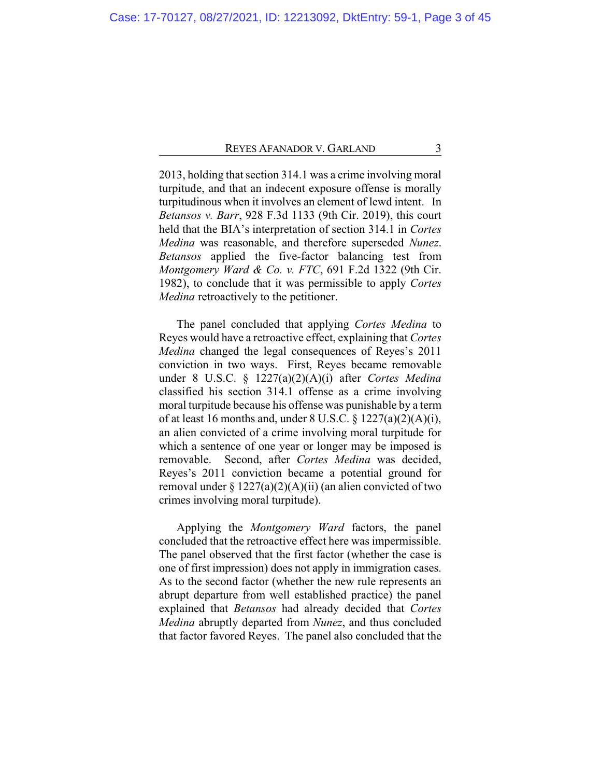2013, holding that section 314.1 was a crime involving moral turpitude, and that an indecent exposure offense is morally turpitudinous when it involves an element of lewd intent. In *Betansos v. Barr*, 928 F.3d 1133 (9th Cir. 2019), this court held that the BIA's interpretation of section 314.1 in *Cortes Medina* was reasonable, and therefore superseded *Nunez*. *Betansos* applied the five-factor balancing test from *Montgomery Ward & Co. v. FTC*, 691 F.2d 1322 (9th Cir. 1982), to conclude that it was permissible to apply *Cortes Medina* retroactively to the petitioner.

The panel concluded that applying *Cortes Medina* to Reyes would have a retroactive effect, explaining that *Cortes Medina* changed the legal consequences of Reyes's 2011 conviction in two ways. First, Reyes became removable under 8 U.S.C. § 1227(a)(2)(A)(i) after *Cortes Medina* classified his section 314.1 offense as a crime involving moral turpitude because his offense was punishable by a term of at least 16 months and, under 8 U.S.C.  $\S 1227(a)(2)(A)(i)$ , an alien convicted of a crime involving moral turpitude for which a sentence of one year or longer may be imposed is removable. Second, after *Cortes Medina* was decided, Reyes's 2011 conviction became a potential ground for removal under  $\S 1227(a)(2)(A)(ii)$  (an alien convicted of two crimes involving moral turpitude).

Applying the *Montgomery Ward* factors, the panel concluded that the retroactive effect here was impermissible. The panel observed that the first factor (whether the case is one of first impression) does not apply in immigration cases. As to the second factor (whether the new rule represents an abrupt departure from well established practice) the panel explained that *Betansos* had already decided that *Cortes Medina* abruptly departed from *Nunez*, and thus concluded that factor favored Reyes. The panel also concluded that the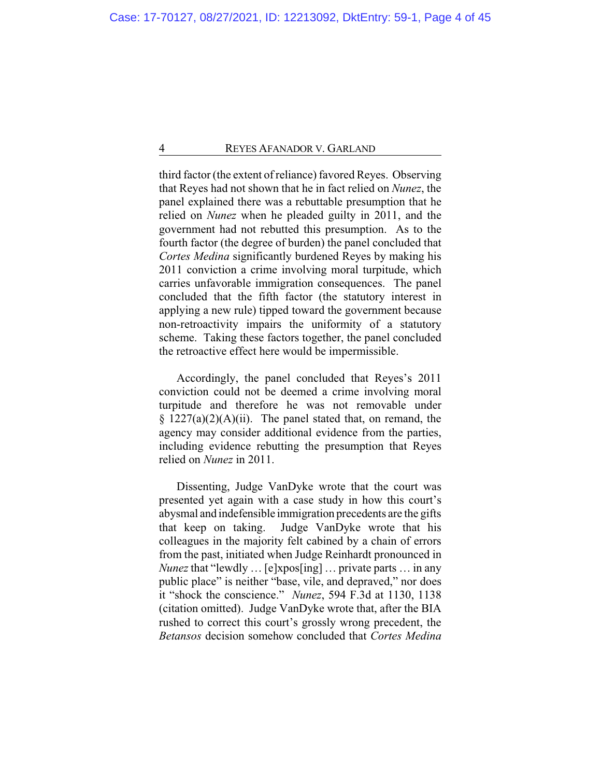third factor (the extent of reliance) favored Reyes. Observing that Reyes had not shown that he in fact relied on *Nunez*, the panel explained there was a rebuttable presumption that he relied on *Nunez* when he pleaded guilty in 2011, and the government had not rebutted this presumption. As to the fourth factor (the degree of burden) the panel concluded that *Cortes Medina* significantly burdened Reyes by making his 2011 conviction a crime involving moral turpitude, which carries unfavorable immigration consequences. The panel concluded that the fifth factor (the statutory interest in applying a new rule) tipped toward the government because non-retroactivity impairs the uniformity of a statutory scheme. Taking these factors together, the panel concluded the retroactive effect here would be impermissible.

Accordingly, the panel concluded that Reyes's 2011 conviction could not be deemed a crime involving moral turpitude and therefore he was not removable under  $§$  1227(a)(2)(A)(ii). The panel stated that, on remand, the agency may consider additional evidence from the parties, including evidence rebutting the presumption that Reyes relied on *Nunez* in 2011.

Dissenting, Judge VanDyke wrote that the court was presented yet again with a case study in how this court's abysmal and indefensible immigration precedents are the gifts that keep on taking. Judge VanDyke wrote that his colleagues in the majority felt cabined by a chain of errors from the past, initiated when Judge Reinhardt pronounced in *Nunez* that "lewdly … [e]xpos[ing] … private parts … in any public place" is neither "base, vile, and depraved," nor does it "shock the conscience." *Nunez*, 594 F.3d at 1130, 1138 (citation omitted). Judge VanDyke wrote that, after the BIA rushed to correct this court's grossly wrong precedent, the *Betansos* decision somehow concluded that *Cortes Medina*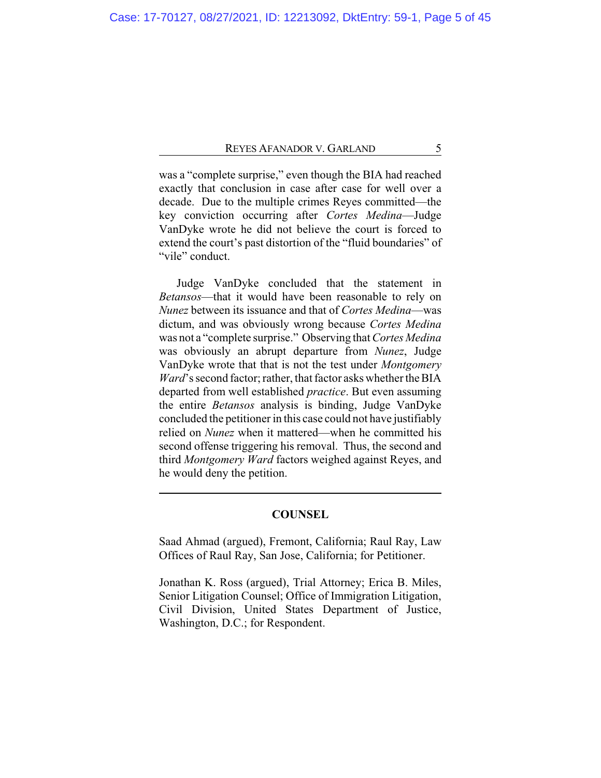was a "complete surprise," even though the BIA had reached exactly that conclusion in case after case for well over a decade. Due to the multiple crimes Reyes committed—the key conviction occurring after *Cortes Medina*—Judge VanDyke wrote he did not believe the court is forced to extend the court's past distortion of the "fluid boundaries" of "vile" conduct.

Judge VanDyke concluded that the statement in *Betansos*—that it would have been reasonable to rely on *Nunez* between its issuance and that of *Cortes Medina*—was dictum, and was obviously wrong because *Cortes Medina* was not a "complete surprise." Observing that *Cortes Medina* was obviously an abrupt departure from *Nunez*, Judge VanDyke wrote that that is not the test under *Montgomery Ward*'s second factor; rather, that factor asks whether the BIA departed from well established *practice*. But even assuming the entire *Betansos* analysis is binding, Judge VanDyke concluded the petitioner in this case could not have justifiably relied on *Nunez* when it mattered—when he committed his second offense triggering his removal. Thus, the second and third *Montgomery Ward* factors weighed against Reyes, and he would deny the petition.

# **COUNSEL**

Saad Ahmad (argued), Fremont, California; Raul Ray, Law Offices of Raul Ray, San Jose, California; for Petitioner.

Jonathan K. Ross (argued), Trial Attorney; Erica B. Miles, Senior Litigation Counsel; Office of Immigration Litigation, Civil Division, United States Department of Justice, Washington, D.C.; for Respondent.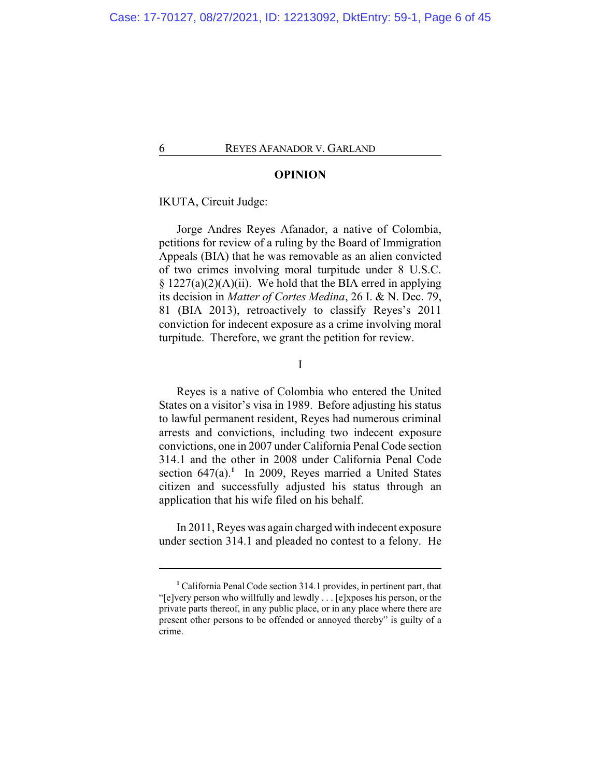# **OPINION**

# IKUTA, Circuit Judge:

Jorge Andres Reyes Afanador, a native of Colombia, petitions for review of a ruling by the Board of Immigration Appeals (BIA) that he was removable as an alien convicted of two crimes involving moral turpitude under 8 U.S.C.  $\S 1227(a)(2)(A)(ii)$ . We hold that the BIA erred in applying its decision in *Matter of Cortes Medina*, 26 I. & N. Dec. 79, 81 (BIA 2013), retroactively to classify Reyes's 2011 conviction for indecent exposure as a crime involving moral turpitude. Therefore, we grant the petition for review.

# I

Reyes is a native of Colombia who entered the United States on a visitor's visa in 1989. Before adjusting his status to lawful permanent resident, Reyes had numerous criminal arrests and convictions, including two indecent exposure convictions, one in 2007 under California Penal Code section 314.1 and the other in 2008 under California Penal Code section 647(a).<sup>1</sup> In 2009, Reyes married a United States citizen and successfully adjusted his status through an application that his wife filed on his behalf.

In 2011, Reyes was again charged with indecent exposure under section 314.1 and pleaded no contest to a felony. He

**<sup>1</sup>** California Penal Code section 314.1 provides, in pertinent part, that "[e]very person who willfully and lewdly . . . [e]xposes his person, or the private parts thereof, in any public place, or in any place where there are present other persons to be offended or annoyed thereby" is guilty of a crime.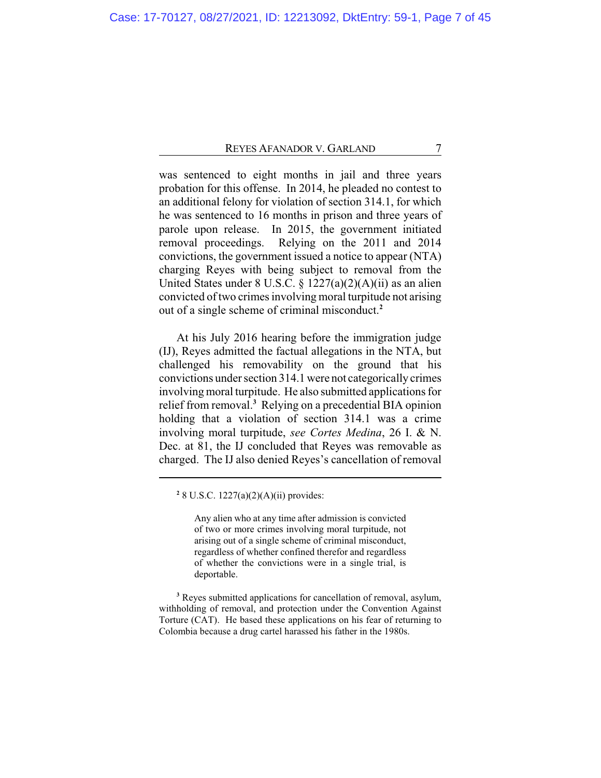was sentenced to eight months in jail and three years probation for this offense. In 2014, he pleaded no contest to an additional felony for violation of section 314.1, for which he was sentenced to 16 months in prison and three years of parole upon release. In 2015, the government initiated removal proceedings. Relying on the 2011 and 2014 convictions, the government issued a notice to appear (NTA) charging Reyes with being subject to removal from the United States under 8 U.S.C. § 1227(a)(2)(A)(ii) as an alien convicted of two crimes involving moral turpitude not arising out of a single scheme of criminal misconduct.**<sup>2</sup>**

At his July 2016 hearing before the immigration judge (IJ), Reyes admitted the factual allegations in the NTA, but challenged his removability on the ground that his convictions under section 314.1 were not categorically crimes involving moral turpitude. He also submitted applications for relief from removal.**<sup>3</sup>** Relying on a precedential BIA opinion holding that a violation of section 314.1 was a crime involving moral turpitude, *see Cortes Medina*, 26 I. & N. Dec. at 81, the IJ concluded that Reyes was removable as charged. The IJ also denied Reyes's cancellation of removal

**2** 8 U.S.C. 1227(a)(2)(A)(ii) provides:

Any alien who at any time after admission is convicted of two or more crimes involving moral turpitude, not arising out of a single scheme of criminal misconduct, regardless of whether confined therefor and regardless of whether the convictions were in a single trial, is deportable.

**<sup>3</sup>** Reyes submitted applications for cancellation of removal, asylum, withholding of removal, and protection under the Convention Against Torture (CAT). He based these applications on his fear of returning to Colombia because a drug cartel harassed his father in the 1980s.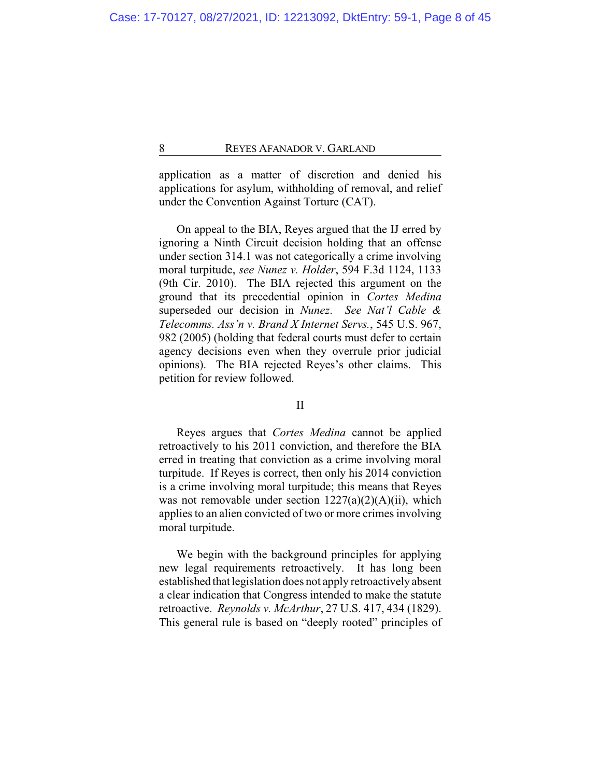application as a matter of discretion and denied his applications for asylum, withholding of removal, and relief under the Convention Against Torture (CAT).

On appeal to the BIA, Reyes argued that the IJ erred by ignoring a Ninth Circuit decision holding that an offense under section 314.1 was not categorically a crime involving moral turpitude, *see Nunez v. Holder*, 594 F.3d 1124, 1133 (9th Cir. 2010). The BIA rejected this argument on the ground that its precedential opinion in *Cortes Medina* superseded our decision in *Nunez*. *See Nat'l Cable & Telecomms. Ass'n v. Brand X Internet Servs.*, 545 U.S. 967, 982 (2005) (holding that federal courts must defer to certain agency decisions even when they overrule prior judicial opinions). The BIA rejected Reyes's other claims. This petition for review followed.

# II

Reyes argues that *Cortes Medina* cannot be applied retroactively to his 2011 conviction, and therefore the BIA erred in treating that conviction as a crime involving moral turpitude. If Reyes is correct, then only his 2014 conviction is a crime involving moral turpitude; this means that Reyes was not removable under section  $1227(a)(2)(A)(ii)$ , which applies to an alien convicted of two or more crimes involving moral turpitude.

We begin with the background principles for applying new legal requirements retroactively. It has long been established that legislation does not apply retroactively absent a clear indication that Congress intended to make the statute retroactive. *Reynolds v. McArthur*, 27 U.S. 417, 434 (1829). This general rule is based on "deeply rooted" principles of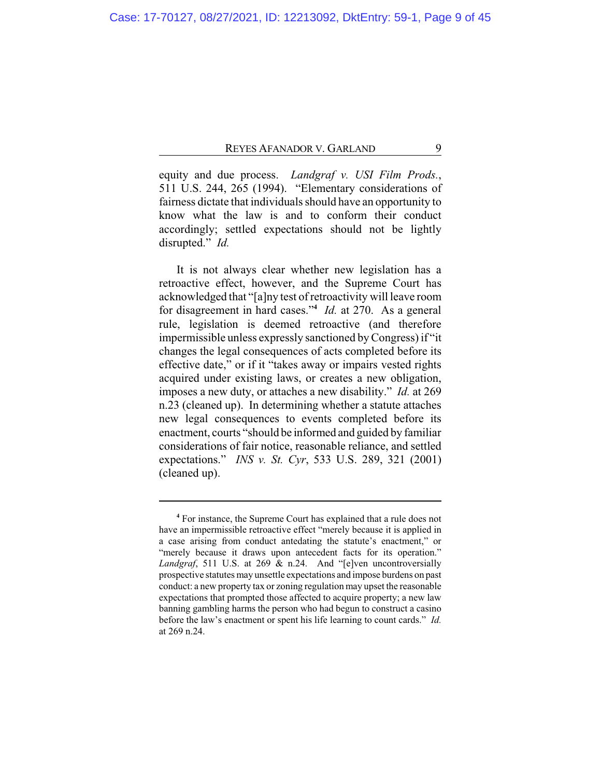equity and due process. *Landgraf v. USI Film Prods.*, 511 U.S. 244, 265 (1994). "Elementary considerations of fairness dictate that individuals should have an opportunity to know what the law is and to conform their conduct accordingly; settled expectations should not be lightly disrupted." *Id.*

It is not always clear whether new legislation has a retroactive effect, however, and the Supreme Court has acknowledged that "[a]ny test of retroactivity will leave room for disagreement in hard cases."**<sup>4</sup>** *Id.* at 270. As a general rule, legislation is deemed retroactive (and therefore impermissible unless expressly sanctioned by Congress) if "it changes the legal consequences of acts completed before its effective date," or if it "takes away or impairs vested rights acquired under existing laws, or creates a new obligation, imposes a new duty, or attaches a new disability." *Id.* at 269 n.23 (cleaned up). In determining whether a statute attaches new legal consequences to events completed before its enactment, courts "should be informed and guided by familiar considerations of fair notice, reasonable reliance, and settled expectations." *INS v. St. Cyr*, 533 U.S. 289, 321 (2001) (cleaned up).

**<sup>4</sup>** For instance, the Supreme Court has explained that a rule does not have an impermissible retroactive effect "merely because it is applied in a case arising from conduct antedating the statute's enactment," or "merely because it draws upon antecedent facts for its operation." *Landgraf*, 511 U.S. at 269 & n.24. And "[e]ven uncontroversially prospective statutes may unsettle expectations and impose burdens on past conduct: a new property tax or zoning regulation may upset the reasonable expectations that prompted those affected to acquire property; a new law banning gambling harms the person who had begun to construct a casino before the law's enactment or spent his life learning to count cards." *Id.* at 269 n.24.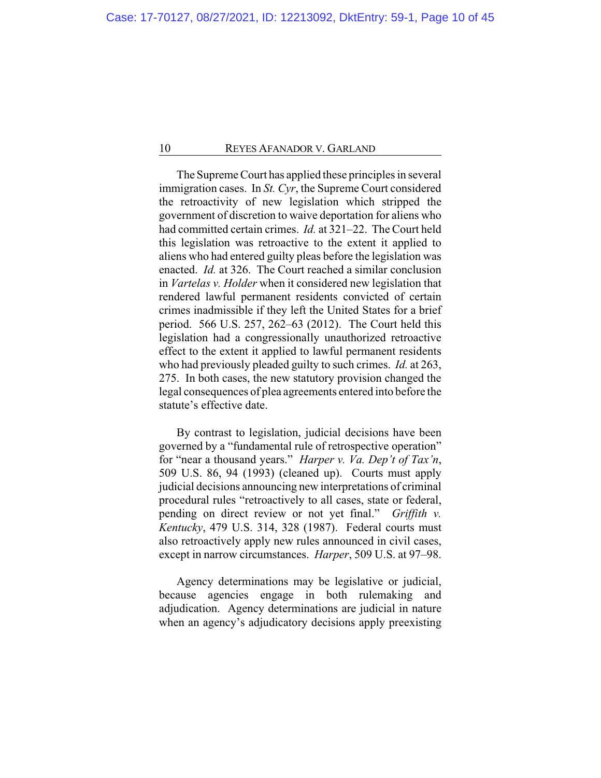The Supreme Court has applied these principles in several immigration cases. In *St. Cyr*, the Supreme Court considered the retroactivity of new legislation which stripped the government of discretion to waive deportation for aliens who had committed certain crimes. *Id.* at 321–22. The Court held this legislation was retroactive to the extent it applied to aliens who had entered guilty pleas before the legislation was enacted. *Id.* at 326. The Court reached a similar conclusion in *Vartelas v. Holder* when it considered new legislation that rendered lawful permanent residents convicted of certain crimes inadmissible if they left the United States for a brief period. 566 U.S. 257, 262–63 (2012). The Court held this legislation had a congressionally unauthorized retroactive effect to the extent it applied to lawful permanent residents who had previously pleaded guilty to such crimes. *Id.* at 263, 275. In both cases, the new statutory provision changed the legal consequences of plea agreements entered into before the statute's effective date.

By contrast to legislation, judicial decisions have been governed by a "fundamental rule of retrospective operation" for "near a thousand years." *Harper v. Va. Dep't of Tax'n*, 509 U.S. 86, 94 (1993) (cleaned up). Courts must apply judicial decisions announcing new interpretations of criminal procedural rules "retroactively to all cases, state or federal, pending on direct review or not yet final." *Griffith v. Kentucky*, 479 U.S. 314, 328 (1987). Federal courts must also retroactively apply new rules announced in civil cases, except in narrow circumstances. *Harper*, 509 U.S. at 97–98.

Agency determinations may be legislative or judicial, because agencies engage in both rulemaking and adjudication. Agency determinations are judicial in nature when an agency's adjudicatory decisions apply preexisting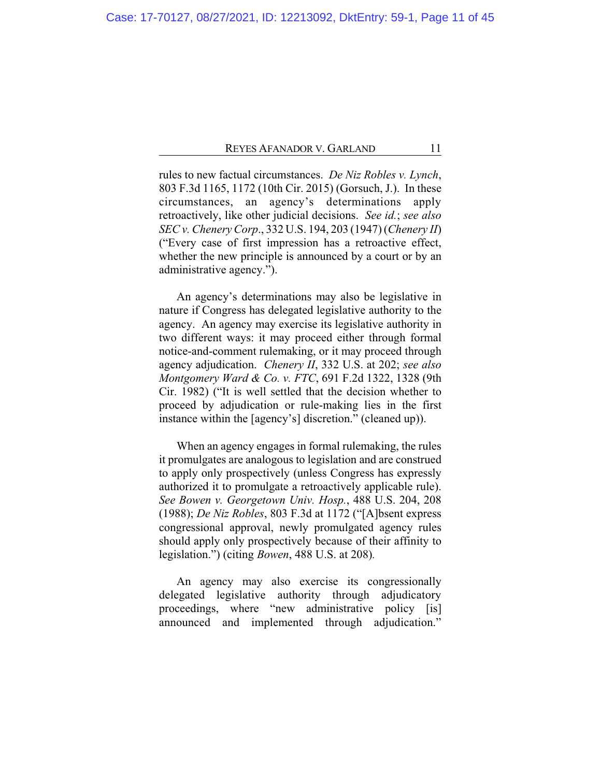rules to new factual circumstances. *De Niz Robles v. Lynch*, 803 F.3d 1165, 1172 (10th Cir. 2015) (Gorsuch, J.). In these circumstances, an agency's determinations apply retroactively, like other judicial decisions. *See id.*; *see also SEC v. Chenery Corp*., 332 U.S. 194, 203 (1947) (*Chenery II*) ("Every case of first impression has a retroactive effect, whether the new principle is announced by a court or by an administrative agency.").

An agency's determinations may also be legislative in nature if Congress has delegated legislative authority to the agency. An agency may exercise its legislative authority in two different ways: it may proceed either through formal notice-and-comment rulemaking, or it may proceed through agency adjudication. *Chenery II*, 332 U.S. at 202; *see also Montgomery Ward & Co. v. FTC*, 691 F.2d 1322, 1328 (9th Cir. 1982) ("It is well settled that the decision whether to proceed by adjudication or rule-making lies in the first instance within the [agency's] discretion." (cleaned up)).

When an agency engages in formal rulemaking, the rules it promulgates are analogous to legislation and are construed to apply only prospectively (unless Congress has expressly authorized it to promulgate a retroactively applicable rule). *See Bowen v. Georgetown Univ. Hosp.*, 488 U.S. 204, 208 (1988); *De Niz Robles*, 803 F.3d at 1172 ("[A]bsent express congressional approval, newly promulgated agency rules should apply only prospectively because of their affinity to legislation.") (citing *Bowen*, 488 U.S. at 208)*.*

An agency may also exercise its congressionally delegated legislative authority through adjudicatory proceedings, where "new administrative policy [is] announced and implemented through adjudication."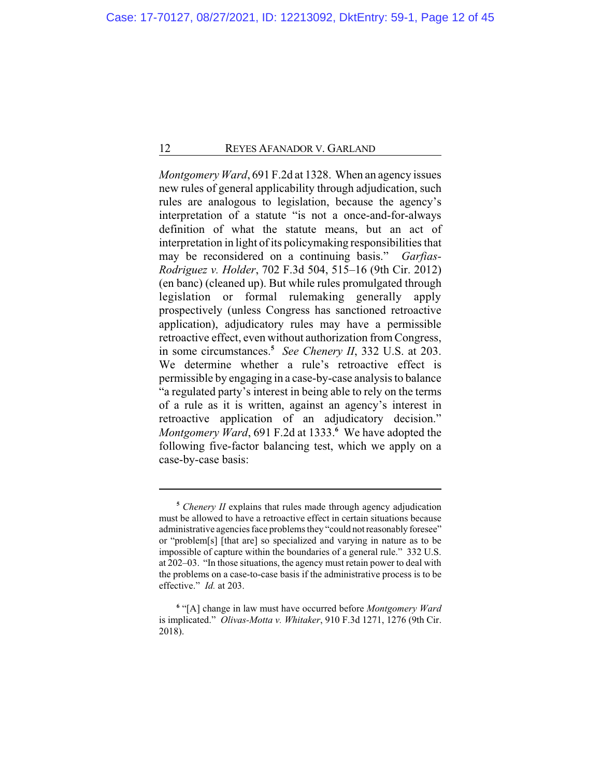*Montgomery Ward*, 691 F.2d at 1328. When an agency issues new rules of general applicability through adjudication, such rules are analogous to legislation, because the agency's interpretation of a statute "is not a once-and-for-always definition of what the statute means, but an act of interpretation in light of its policymaking responsibilities that may be reconsidered on a continuing basis." *Garfias-Rodriguez v. Holder*, 702 F.3d 504, 515–16 (9th Cir. 2012) (en banc) (cleaned up). But while rules promulgated through legislation or formal rulemaking generally apply prospectively (unless Congress has sanctioned retroactive application), adjudicatory rules may have a permissible retroactive effect, even without authorization from Congress, in some circumstances.**<sup>5</sup>** *See Chenery II*, 332 U.S. at 203. We determine whether a rule's retroactive effect is permissible by engaging in a case-by-case analysis to balance "a regulated party's interest in being able to rely on the terms of a rule as it is written, against an agency's interest in retroactive application of an adjudicatory decision." *Montgomery Ward*, 691 F.2d at 1333.**<sup>6</sup>** We have adopted the following five-factor balancing test, which we apply on a case-by-case basis:

**<sup>5</sup>** *Chenery II* explains that rules made through agency adjudication must be allowed to have a retroactive effect in certain situations because administrative agencies face problems they "could notreasonably foresee" or "problem[s] [that are] so specialized and varying in nature as to be impossible of capture within the boundaries of a general rule." 332 U.S. at 202–03. "In those situations, the agency must retain power to deal with the problems on a case-to-case basis if the administrative process is to be effective." *Id.* at 203.

**<sup>6</sup>** "[A] change in law must have occurred before *Montgomery Ward* is implicated." *Olivas-Motta v. Whitaker*, 910 F.3d 1271, 1276 (9th Cir. 2018).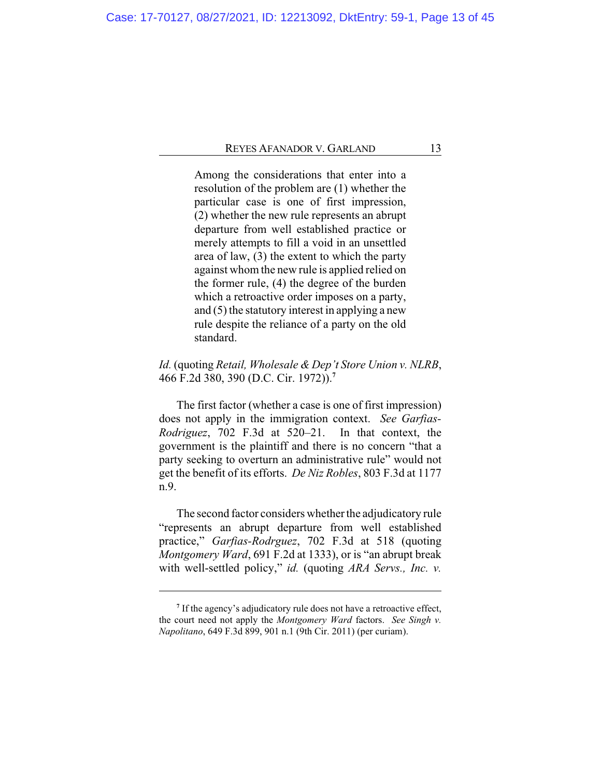Among the considerations that enter into a resolution of the problem are (1) whether the particular case is one of first impression, (2) whether the new rule represents an abrupt departure from well established practice or merely attempts to fill a void in an unsettled area of law, (3) the extent to which the party against whomthe new rule is applied relied on the former rule, (4) the degree of the burden which a retroactive order imposes on a party, and (5) the statutory interest in applying a new rule despite the reliance of a party on the old standard.

# *Id.* (quoting *Retail, Wholesale & Dep't Store Union v. NLRB*, 466 F.2d 380, 390 (D.C. Cir. 1972)).**<sup>7</sup>**

The first factor (whether a case is one of first impression) does not apply in the immigration context. *See Garfias-Rodriguez*, 702 F.3d at 520–21. In that context, the government is the plaintiff and there is no concern "that a party seeking to overturn an administrative rule" would not get the benefit of its efforts. *De Niz Robles*, 803 F.3d at 1177 n.9.

The second factor considers whether the adjudicatory rule "represents an abrupt departure from well established practice," *Garfias-Rodrguez*, 702 F.3d at 518 (quoting *Montgomery Ward*, 691 F.2d at 1333), or is "an abrupt break with well-settled policy," *id.* (quoting *ARA Servs., Inc. v.*

<sup>&</sup>lt;sup>7</sup> If the agency's adjudicatory rule does not have a retroactive effect, the court need not apply the *Montgomery Ward* factors. *See Singh v. Napolitano*, 649 F.3d 899, 901 n.1 (9th Cir. 2011) (per curiam).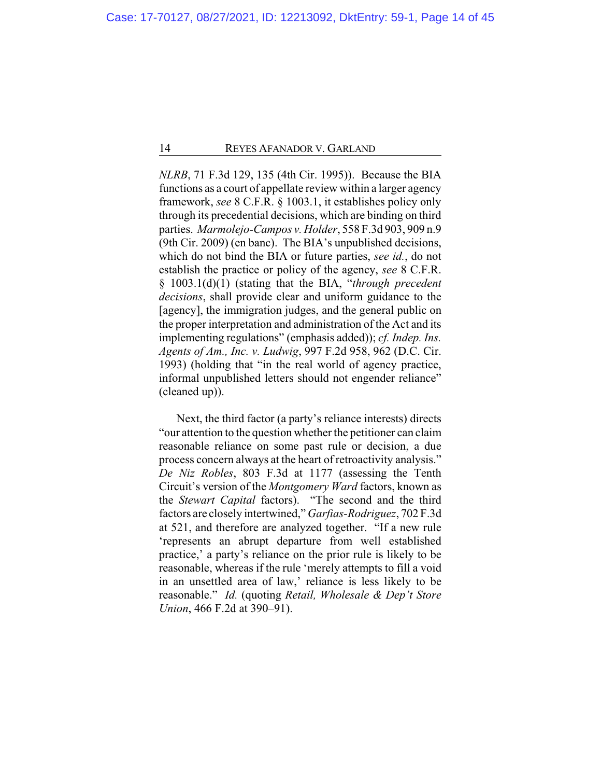*NLRB*, 71 F.3d 129, 135 (4th Cir. 1995)). Because the BIA functions as a court of appellate review within a larger agency framework, *see* 8 C.F.R. § 1003.1, it establishes policy only through its precedential decisions, which are binding on third parties. *Marmolejo-Campos v. Holder*, 558 F.3d 903, 909 n.9 (9th Cir. 2009) (en banc). The BIA's unpublished decisions, which do not bind the BIA or future parties, *see id.*, do not establish the practice or policy of the agency, *see* 8 C.F.R. § 1003.1(d)(1) (stating that the BIA, "*through precedent decisions*, shall provide clear and uniform guidance to the [agency], the immigration judges, and the general public on the proper interpretation and administration of the Act and its implementing regulations" (emphasis added)); *cf. Indep. Ins. Agents of Am., Inc. v. Ludwig*, 997 F.2d 958, 962 (D.C. Cir. 1993) (holding that "in the real world of agency practice, informal unpublished letters should not engender reliance" (cleaned up)).

Next, the third factor (a party's reliance interests) directs "our attention to the question whether the petitioner can claim reasonable reliance on some past rule or decision, a due process concern always at the heart of retroactivity analysis." *De Niz Robles*, 803 F.3d at 1177 (assessing the Tenth Circuit's version of the *Montgomery Ward* factors, known as the *Stewart Capital* factors). "The second and the third factors are closely intertwined," *Garfias-Rodriguez*, 702 F.3d at 521, and therefore are analyzed together. "If a new rule 'represents an abrupt departure from well established practice,' a party's reliance on the prior rule is likely to be reasonable, whereas if the rule 'merely attempts to fill a void in an unsettled area of law,' reliance is less likely to be reasonable." *Id.* (quoting *Retail, Wholesale & Dep't Store Union*, 466 F.2d at 390–91).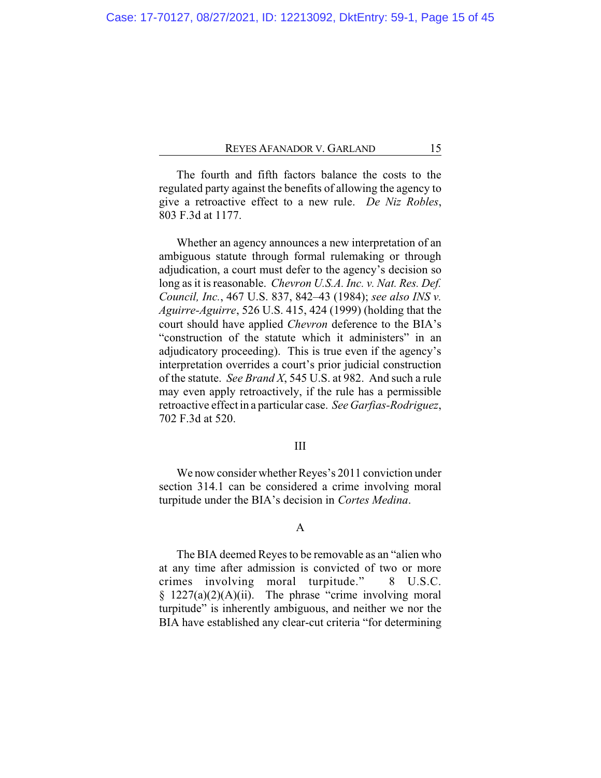The fourth and fifth factors balance the costs to the regulated party against the benefits of allowing the agency to give a retroactive effect to a new rule. *De Niz Robles*, 803 F.3d at 1177.

Whether an agency announces a new interpretation of an ambiguous statute through formal rulemaking or through adjudication, a court must defer to the agency's decision so long as it is reasonable. *Chevron U.S.A. Inc. v. Nat. Res. Def. Council, Inc.*, 467 U.S. 837, 842–43 (1984); *see also INS v. Aguirre-Aguirre*, 526 U.S. 415, 424 (1999) (holding that the court should have applied *Chevron* deference to the BIA's "construction of the statute which it administers" in an adjudicatory proceeding). This is true even if the agency's interpretation overrides a court's prior judicial construction of the statute. *See Brand X*, 545 U.S. at 982. And such a rule may even apply retroactively, if the rule has a permissible retroactive effect in a particular case. *See Garfias-Rodriguez*, 702 F.3d at 520.

# III

We now consider whether Reyes's 2011 conviction under section 314.1 can be considered a crime involving moral turpitude under the BIA's decision in *Cortes Medina*.

# A

The BIA deemed Reyes to be removable as an "alien who at any time after admission is convicted of two or more crimes involving moral turpitude." 8 U.S.C.  $§$  1227(a)(2)(A)(ii). The phrase "crime involving moral turpitude" is inherently ambiguous, and neither we nor the BIA have established any clear-cut criteria "for determining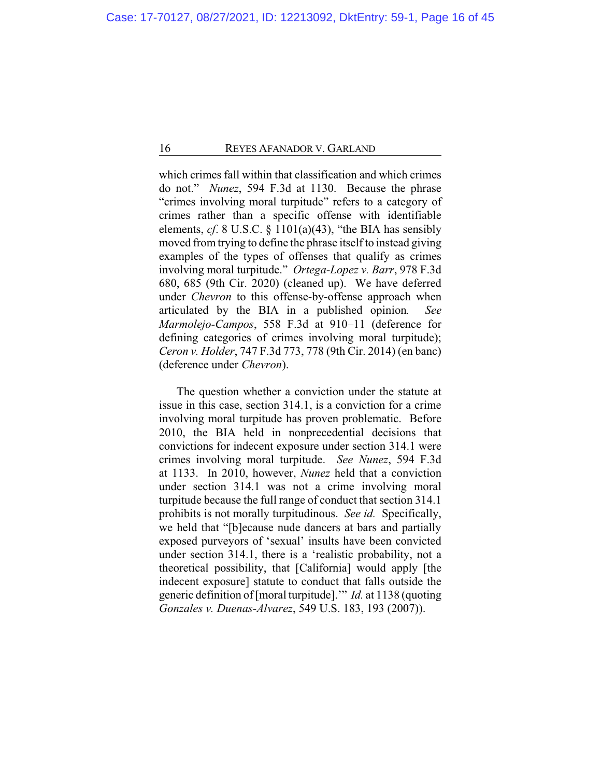which crimes fall within that classification and which crimes do not." *Nunez*, 594 F.3d at 1130. Because the phrase "crimes involving moral turpitude" refers to a category of crimes rather than a specific offense with identifiable elements, *cf*. 8 U.S.C. § 1101(a)(43), "the BIA has sensibly moved from trying to define the phrase itself to instead giving examples of the types of offenses that qualify as crimes involving moral turpitude." *Ortega-Lopez v. Barr*, 978 F.3d 680, 685 (9th Cir. 2020) (cleaned up). We have deferred under *Chevron* to this offense-by-offense approach when articulated by the BIA in a published opinion*. See Marmolejo-Campos*, 558 F.3d at 910–11 (deference for defining categories of crimes involving moral turpitude); *Ceron v. Holder*, 747 F.3d 773, 778 (9th Cir. 2014) (en banc) (deference under *Chevron*).

The question whether a conviction under the statute at issue in this case, section 314.1, is a conviction for a crime involving moral turpitude has proven problematic. Before 2010, the BIA held in nonprecedential decisions that convictions for indecent exposure under section 314.1 were crimes involving moral turpitude. *See Nunez*, 594 F.3d at 1133. In 2010, however, *Nunez* held that a conviction under section 314.1 was not a crime involving moral turpitude because the full range of conduct that section 314.1 prohibits is not morally turpitudinous. *See id.* Specifically, we held that "[b]ecause nude dancers at bars and partially exposed purveyors of 'sexual' insults have been convicted under section 314.1, there is a 'realistic probability, not a theoretical possibility, that [California] would apply [the indecent exposure] statute to conduct that falls outside the generic definition of [moral turpitude].'" *Id.* at 1138 (quoting *Gonzales v. Duenas-Alvarez*, 549 U.S. 183, 193 (2007)).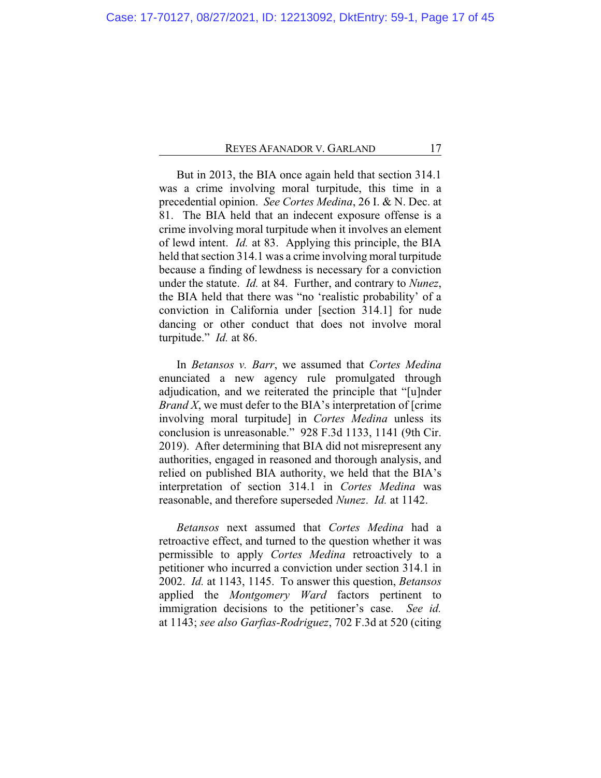But in 2013, the BIA once again held that section 314.1 was a crime involving moral turpitude, this time in a precedential opinion. *See Cortes Medina*, 26 I. & N. Dec. at 81. The BIA held that an indecent exposure offense is a crime involving moral turpitude when it involves an element of lewd intent. *Id.* at 83. Applying this principle, the BIA held that section 314.1 was a crime involving moral turpitude because a finding of lewdness is necessary for a conviction under the statute. *Id.* at 84. Further, and contrary to *Nunez*, the BIA held that there was "no 'realistic probability' of a conviction in California under [section 314.1] for nude dancing or other conduct that does not involve moral turpitude." *Id.* at 86.

In *Betansos v. Barr*, we assumed that *Cortes Medina* enunciated a new agency rule promulgated through adjudication, and we reiterated the principle that "[u]nder *Brand X*, we must defer to the BIA's interpretation of [crime involving moral turpitude] in *Cortes Medina* unless its conclusion is unreasonable." 928 F.3d 1133, 1141 (9th Cir. 2019). After determining that BIA did not misrepresent any authorities, engaged in reasoned and thorough analysis, and relied on published BIA authority, we held that the BIA's interpretation of section 314.1 in *Cortes Medina* was reasonable, and therefore superseded *Nunez*. *Id.* at 1142.

*Betansos* next assumed that *Cortes Medina* had a retroactive effect, and turned to the question whether it was permissible to apply *Cortes Medina* retroactively to a petitioner who incurred a conviction under section 314.1 in 2002. *Id.* at 1143, 1145. To answer this question, *Betansos* applied the *Montgomery Ward* factors pertinent to immigration decisions to the petitioner's case. *See id.* at 1143; *see also Garfias-Rodriguez*, 702 F.3d at 520 (citing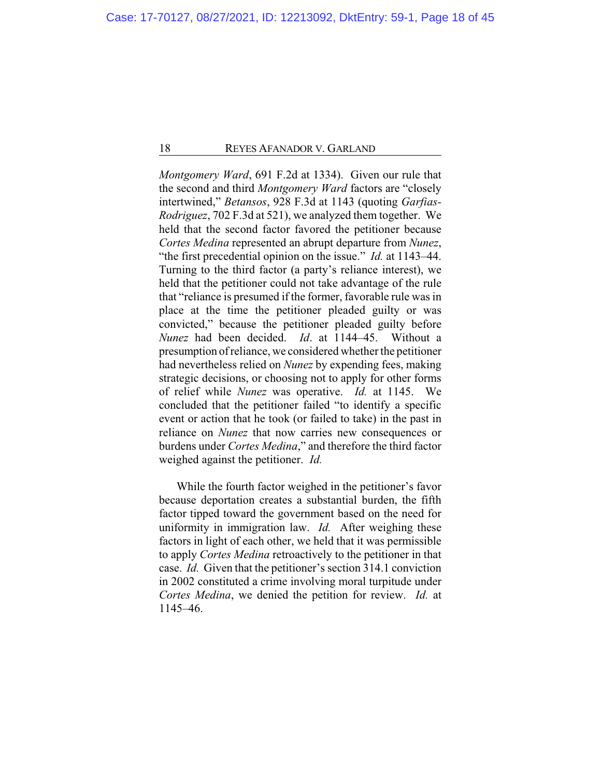*Montgomery Ward*, 691 F.2d at 1334). Given our rule that the second and third *Montgomery Ward* factors are "closely intertwined," *Betansos*, 928 F.3d at 1143 (quoting *Garfias-Rodriguez*, 702 F.3d at 521), we analyzed them together. We held that the second factor favored the petitioner because *Cortes Medina* represented an abrupt departure from *Nunez*, "the first precedential opinion on the issue." *Id.* at 1143–44. Turning to the third factor (a party's reliance interest), we held that the petitioner could not take advantage of the rule that "reliance is presumed if the former, favorable rule was in place at the time the petitioner pleaded guilty or was convicted," because the petitioner pleaded guilty before *Nunez* had been decided. *Id*. at 1144–45. Without a presumption ofreliance, we considered whether the petitioner had nevertheless relied on *Nunez* by expending fees, making strategic decisions, or choosing not to apply for other forms of relief while *Nunez* was operative. *Id.* at 1145. We concluded that the petitioner failed "to identify a specific event or action that he took (or failed to take) in the past in reliance on *Nunez* that now carries new consequences or burdens under *Cortes Medina*," and therefore the third factor weighed against the petitioner. *Id.*

While the fourth factor weighed in the petitioner's favor because deportation creates a substantial burden, the fifth factor tipped toward the government based on the need for uniformity in immigration law. *Id.* After weighing these factors in light of each other, we held that it was permissible to apply *Cortes Medina* retroactively to the petitioner in that case. *Id.* Given that the petitioner's section 314.1 conviction in 2002 constituted a crime involving moral turpitude under *Cortes Medina*, we denied the petition for review. *Id.* at 1145–46.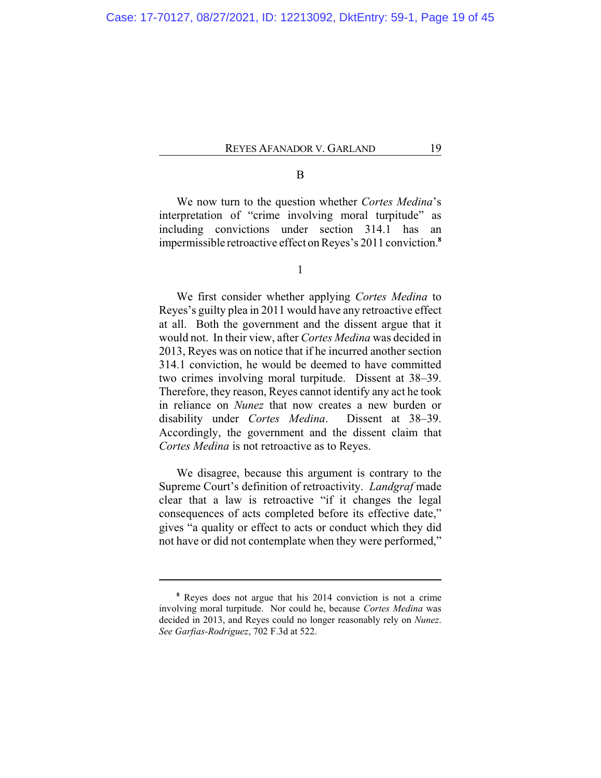# B

We now turn to the question whether *Cortes Medina*'s interpretation of "crime involving moral turpitude" as including convictions under section 314.1 has an impermissible retroactive effect on Reyes's 2011 conviction. **8**

1

We first consider whether applying *Cortes Medina* to Reyes's guilty plea in 2011 would have any retroactive effect at all. Both the government and the dissent argue that it would not. In their view, after *Cortes Medina* was decided in 2013, Reyes was on notice that if he incurred another section 314.1 conviction, he would be deemed to have committed two crimes involving moral turpitude. Dissent at 38–39. Therefore, they reason, Reyes cannot identify any act he took in reliance on *Nunez* that now creates a new burden or disability under *Cortes Medina*. Dissent at 38–39. Accordingly, the government and the dissent claim that *Cortes Medina* is not retroactive as to Reyes.

We disagree, because this argument is contrary to the Supreme Court's definition of retroactivity. *Landgraf* made clear that a law is retroactive "if it changes the legal consequences of acts completed before its effective date," gives "a quality or effect to acts or conduct which they did not have or did not contemplate when they were performed,"

**<sup>8</sup>** Reyes does not argue that his 2014 conviction is not a crime involving moral turpitude. Nor could he, because *Cortes Medina* was decided in 2013, and Reyes could no longer reasonably rely on *Nunez*. *See Garfias-Rodriguez*, 702 F.3d at 522.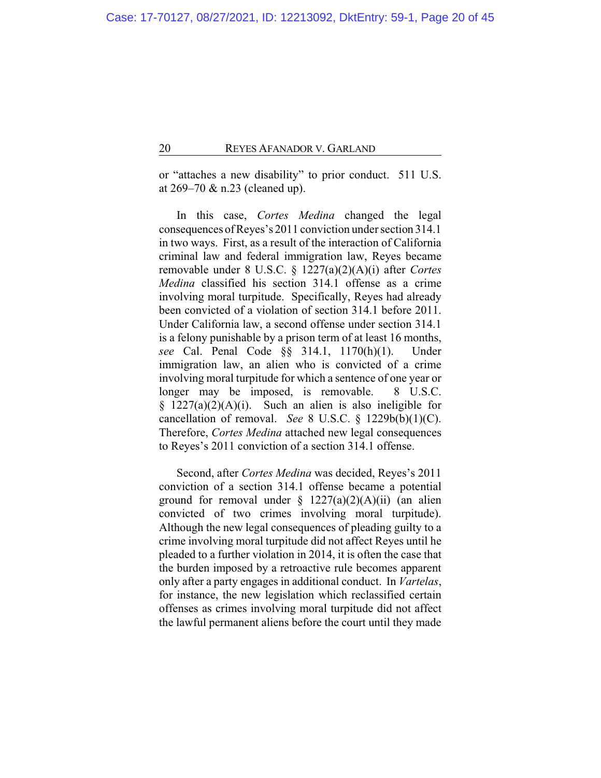or "attaches a new disability" to prior conduct. 511 U.S. at 269–70 & n.23 (cleaned up).

In this case, *Cortes Medina* changed the legal consequences ofReyes's 2011 conviction under section 314.1 in two ways. First, as a result of the interaction of California criminal law and federal immigration law, Reyes became removable under 8 U.S.C. § 1227(a)(2)(A)(i) after *Cortes Medina* classified his section 314.1 offense as a crime involving moral turpitude. Specifically, Reyes had already been convicted of a violation of section 314.1 before 2011. Under California law, a second offense under section 314.1 is a felony punishable by a prison term of at least 16 months, *see* Cal. Penal Code §§ 314.1, 1170(h)(1). Under immigration law, an alien who is convicted of a crime involving moral turpitude for which a sentence of one year or longer may be imposed, is removable. 8 U.S.C.  $§$  1227(a)(2)(A)(i). Such an alien is also ineligible for cancellation of removal. *See* 8 U.S.C. § 1229b(b)(1)(C). Therefore, *Cortes Medina* attached new legal consequences to Reyes's 2011 conviction of a section 314.1 offense.

Second, after *Cortes Medina* was decided, Reyes's 2011 conviction of a section 314.1 offense became a potential ground for removal under  $\S$  1227(a)(2)(A)(ii) (an alien convicted of two crimes involving moral turpitude). Although the new legal consequences of pleading guilty to a crime involving moral turpitude did not affect Reyes until he pleaded to a further violation in 2014, it is often the case that the burden imposed by a retroactive rule becomes apparent only after a party engages in additional conduct. In *Vartelas*, for instance, the new legislation which reclassified certain offenses as crimes involving moral turpitude did not affect the lawful permanent aliens before the court until they made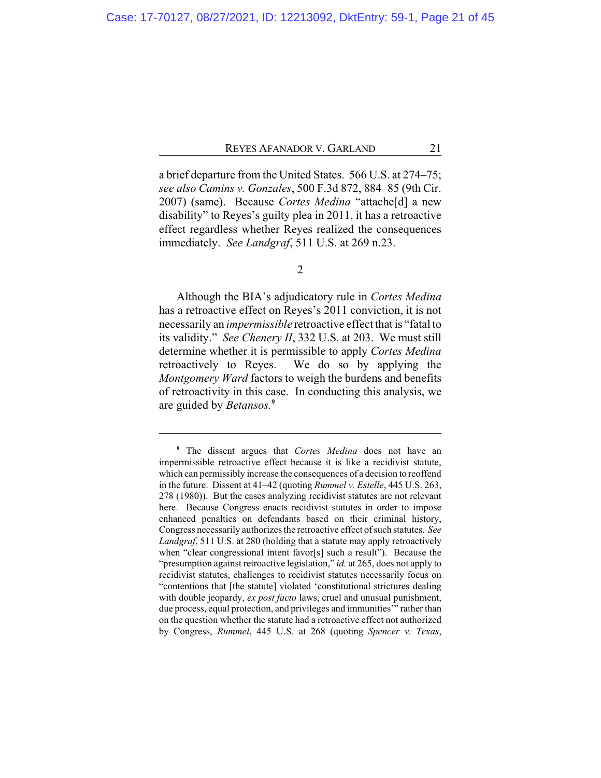a brief departure from the United States. 566 U.S. at 274–75; *see also Camins v. Gonzales*, 500 F.3d 872, 884–85 (9th Cir. 2007) (same). Because *Cortes Medina* "attache[d] a new disability" to Reyes's guilty plea in 2011, it has a retroactive effect regardless whether Reyes realized the consequences immediately. *See Landgraf*, 511 U.S. at 269 n.23.

Although the BIA's adjudicatory rule in *Cortes Medina* has a retroactive effect on Reyes's 2011 conviction, it is not necessarily an *impermissible* retroactive effect that is "fatal to its validity." *See Chenery II*, 332 U.S. at 203. We must still determine whether it is permissible to apply *Cortes Medina* retroactively to Reyes. We do so by applying the *Montgomery Ward* factors to weigh the burdens and benefits of retroactivity in this case. In conducting this analysis, we are guided by *Betansos.***<sup>9</sup>**

<sup>2</sup>

**<sup>9</sup>** The dissent argues that *Cortes Medina* does not have an impermissible retroactive effect because it is like a recidivist statute, which can permissibly increase the consequences of a decision to reoffend in the future. Dissent at 41–42 (quoting *Rummel v. Estelle*, 445 U.S. 263, 278 (1980)). But the cases analyzing recidivist statutes are not relevant here. Because Congress enacts recidivist statutes in order to impose enhanced penalties on defendants based on their criminal history, Congress necessarily authorizes the retroactive effect of such statutes. *See Landgraf*, 511 U.S. at 280 (holding that a statute may apply retroactively when "clear congressional intent favor[s] such a result"). Because the "presumption against retroactive legislation," *id.* at 265, does not apply to recidivist statutes, challenges to recidivist statutes necessarily focus on "contentions that [the statute] violated 'constitutional strictures dealing with double jeopardy, *ex post facto* laws, cruel and unusual punishment, due process, equal protection, and privileges and immunities'" rather than on the question whether the statute had a retroactive effect not authorized by Congress, *Rummel*, 445 U.S. at 268 (quoting *Spencer v. Texas*,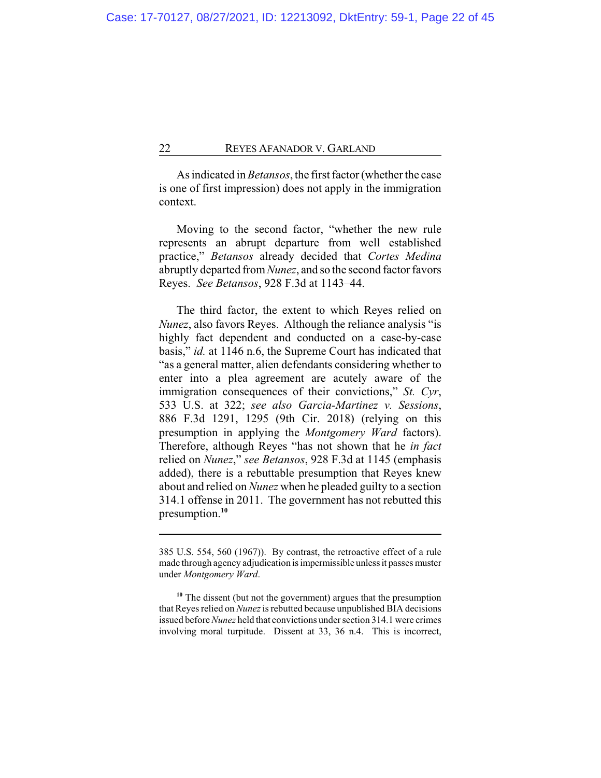As indicated in *Betansos*, the first factor (whether the case is one of first impression) does not apply in the immigration context.

Moving to the second factor, "whether the new rule represents an abrupt departure from well established practice," *Betansos* already decided that *Cortes Medina* abruptly departed from*Nunez*, and so the second factor favors Reyes. *See Betansos*, 928 F.3d at 1143–44.

The third factor, the extent to which Reyes relied on *Nunez*, also favors Reyes. Although the reliance analysis "is highly fact dependent and conducted on a case-by-case basis," *id.* at 1146 n.6, the Supreme Court has indicated that "as a general matter, alien defendants considering whether to enter into a plea agreement are acutely aware of the immigration consequences of their convictions," *St. Cyr*, 533 U.S. at 322; *see also Garcia-Martinez v. Sessions*, 886 F.3d 1291, 1295 (9th Cir. 2018) (relying on this presumption in applying the *Montgomery Ward* factors). Therefore, although Reyes "has not shown that he *in fact* relied on *Nunez*," *see Betansos*, 928 F.3d at 1145 (emphasis added), there is a rebuttable presumption that Reyes knew about and relied on *Nunez* when he pleaded guilty to a section 314.1 offense in 2011. The government has not rebutted this presumption.**<sup>10</sup>**

<sup>385</sup> U.S. 554, 560 (1967)). By contrast, the retroactive effect of a rule made through agency adjudication is impermissible unless it passes muster under *Montgomery Ward*.

**<sup>10</sup>** The dissent (but not the government) argues that the presumption that Reyes relied on *Nunez* is rebutted because unpublished BIA decisions issued before *Nunez* held that convictions under section 314.1 were crimes involving moral turpitude. Dissent at 33, 36 n.4. This is incorrect,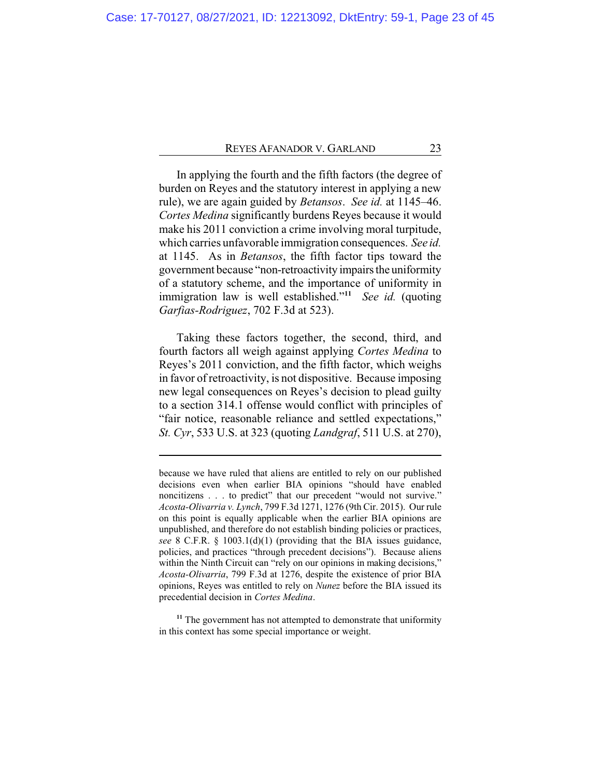In applying the fourth and the fifth factors (the degree of burden on Reyes and the statutory interest in applying a new rule), we are again guided by *Betansos*. *See id.* at 1145–46. *Cortes Medina* significantly burdens Reyes because it would make his 2011 conviction a crime involving moral turpitude, which carries unfavorable immigration consequences. *See id.* at 1145. As in *Betansos*, the fifth factor tips toward the government because "non-retroactivity impairsthe uniformity of a statutory scheme, and the importance of uniformity in immigration law is well established."**<sup>11</sup>** *See id.* (quoting *Garfias-Rodriguez*, 702 F.3d at 523).

Taking these factors together, the second, third, and fourth factors all weigh against applying *Cortes Medina* to Reyes's 2011 conviction, and the fifth factor, which weighs in favor of retroactivity, is not dispositive. Because imposing new legal consequences on Reyes's decision to plead guilty to a section 314.1 offense would conflict with principles of "fair notice, reasonable reliance and settled expectations," *St. Cyr*, 533 U.S. at 323 (quoting *Landgraf*, 511 U.S. at 270),

because we have ruled that aliens are entitled to rely on our published decisions even when earlier BIA opinions "should have enabled noncitizens . . . to predict" that our precedent "would not survive." *Acosta-Olivarria v. Lynch*, 799 F.3d 1271, 1276 (9th Cir. 2015). Our rule on this point is equally applicable when the earlier BIA opinions are unpublished, and therefore do not establish binding policies or practices, *see* 8 C.F.R. § 1003.1(d)(1) (providing that the BIA issues guidance, policies, and practices "through precedent decisions"). Because aliens within the Ninth Circuit can "rely on our opinions in making decisions," *Acosta-Olivarria*, 799 F.3d at 1276, despite the existence of prior BIA opinions, Reyes was entitled to rely on *Nunez* before the BIA issued its precedential decision in *Cortes Medina*.

**<sup>11</sup>** The government has not attempted to demonstrate that uniformity in this context has some special importance or weight.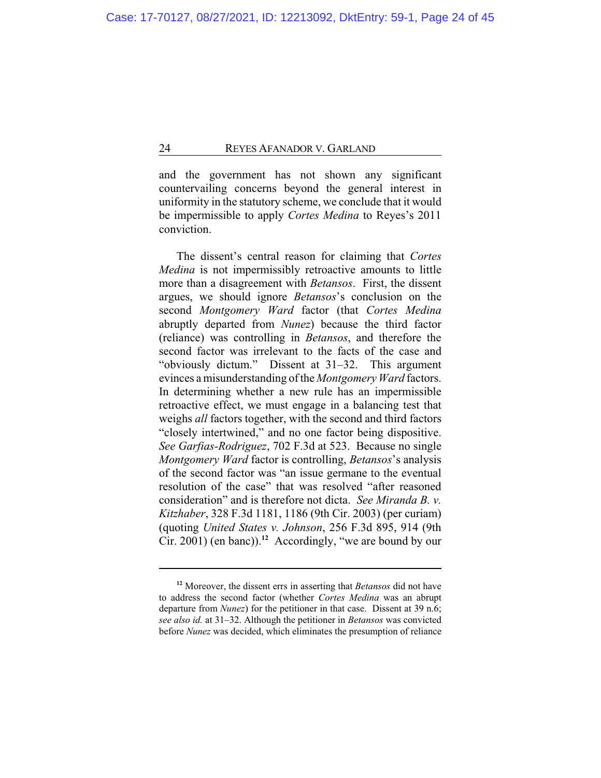and the government has not shown any significant countervailing concerns beyond the general interest in uniformity in the statutory scheme, we conclude that it would be impermissible to apply *Cortes Medina* to Reyes's 2011 conviction.

The dissent's central reason for claiming that *Cortes Medina* is not impermissibly retroactive amounts to little more than a disagreement with *Betansos*. First, the dissent argues, we should ignore *Betansos*'s conclusion on the second *Montgomery Ward* factor (that *Cortes Medina* abruptly departed from *Nunez*) because the third factor (reliance) was controlling in *Betansos*, and therefore the second factor was irrelevant to the facts of the case and "obviously dictum." Dissent at 31–32. This argument evinces a misunderstanding of the *Montgomery Ward* factors. In determining whether a new rule has an impermissible retroactive effect, we must engage in a balancing test that weighs *all* factors together, with the second and third factors "closely intertwined," and no one factor being dispositive. *See Garfias-Rodriguez*, 702 F.3d at 523. Because no single *Montgomery Ward* factor is controlling, *Betansos*'s analysis of the second factor was "an issue germane to the eventual resolution of the case" that was resolved "after reasoned consideration" and is therefore not dicta. *See Miranda B. v. Kitzhaber*, 328 F.3d 1181, 1186 (9th Cir. 2003) (per curiam) (quoting *United States v. Johnson*, 256 F.3d 895, 914 (9th Cir. 2001) (en banc)).**<sup>12</sup>** Accordingly, "we are bound by our

**<sup>12</sup>** Moreover, the dissent errs in asserting that *Betansos* did not have to address the second factor (whether *Cortes Medina* was an abrupt departure from *Nunez*) for the petitioner in that case. Dissent at 39 n.6; *see also id.* at 31–32. Although the petitioner in *Betansos* was convicted before *Nunez* was decided, which eliminates the presumption of reliance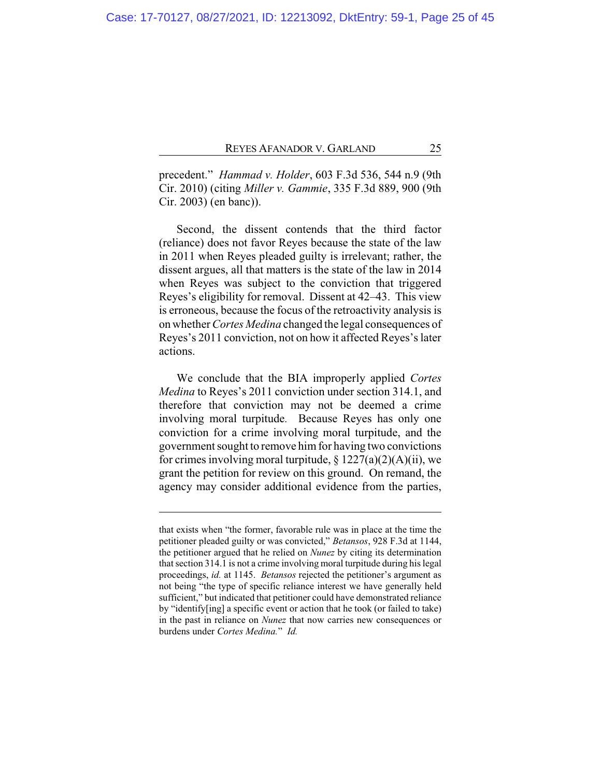precedent." *Hammad v. Holder*, 603 F.3d 536, 544 n.9 (9th Cir. 2010) (citing *Miller v. Gammie*, 335 F.3d 889, 900 (9th Cir. 2003) (en banc)).

Second, the dissent contends that the third factor (reliance) does not favor Reyes because the state of the law in 2011 when Reyes pleaded guilty is irrelevant; rather, the dissent argues, all that matters is the state of the law in 2014 when Reyes was subject to the conviction that triggered Reyes's eligibility for removal. Dissent at 42–43. This view is erroneous, because the focus of the retroactivity analysis is on whether *Cortes Medina* changed the legal consequences of Reyes's 2011 conviction, not on how it affected Reyes's later actions.

We conclude that the BIA improperly applied *Cortes Medina* to Reyes's 2011 conviction under section 314.1, and therefore that conviction may not be deemed a crime involving moral turpitude*.* Because Reyes has only one conviction for a crime involving moral turpitude, and the government sought to remove himfor having two convictions for crimes involving moral turpitude,  $\S 1227(a)(2)(A)(ii)$ , we grant the petition for review on this ground. On remand, the agency may consider additional evidence from the parties,

that exists when "the former, favorable rule was in place at the time the petitioner pleaded guilty or was convicted," *Betansos*, 928 F.3d at 1144, the petitioner argued that he relied on *Nunez* by citing its determination that section 314.1 is not a crime involving moral turpitude during his legal proceedings, *id.* at 1145. *Betansos* rejected the petitioner's argument as not being "the type of specific reliance interest we have generally held sufficient," but indicated that petitioner could have demonstrated reliance by "identify[ing] a specific event or action that he took (or failed to take) in the past in reliance on *Nunez* that now carries new consequences or burdens under *Cortes Medina.*" *Id.*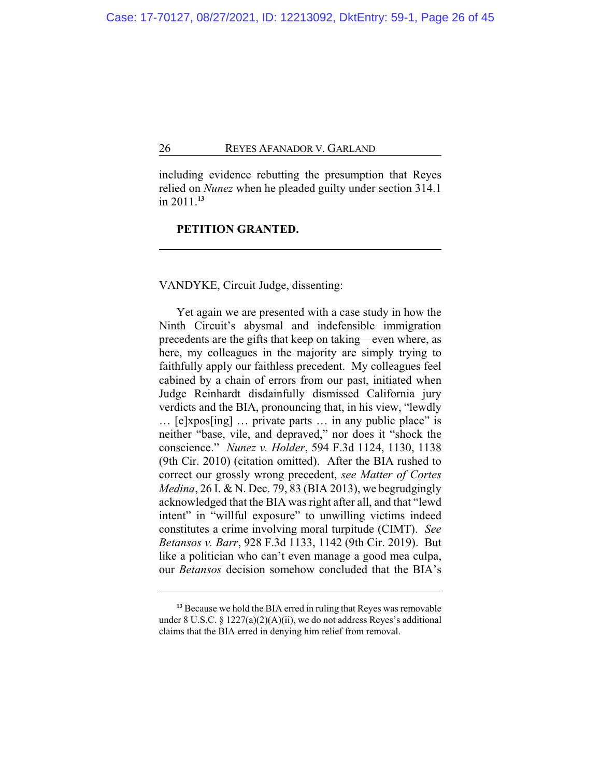including evidence rebutting the presumption that Reyes relied on *Nunez* when he pleaded guilty under section 314.1 in 2011.**<sup>13</sup>**

# **PETITION GRANTED.**

# VANDYKE, Circuit Judge, dissenting:

Yet again we are presented with a case study in how the Ninth Circuit's abysmal and indefensible immigration precedents are the gifts that keep on taking—even where, as here, my colleagues in the majority are simply trying to faithfully apply our faithless precedent. My colleagues feel cabined by a chain of errors from our past, initiated when Judge Reinhardt disdainfully dismissed California jury verdicts and the BIA, pronouncing that, in his view, "lewdly … [e]xpos[ing] … private parts … in any public place" is neither "base, vile, and depraved," nor does it "shock the conscience." *Nunez v. Holder*, 594 F.3d 1124, 1130, 1138 (9th Cir. 2010) (citation omitted). After the BIA rushed to correct our grossly wrong precedent, *see Matter of Cortes Medina*, 26 I. & N. Dec. 79, 83 (BIA 2013), we begrudgingly acknowledged that the BIA was right after all, and that "lewd intent" in "willful exposure" to unwilling victims indeed constitutes a crime involving moral turpitude (CIMT). *See Betansos v. Barr*, 928 F.3d 1133, 1142 (9th Cir. 2019). But like a politician who can't even manage a good mea culpa, our *Betansos* decision somehow concluded that the BIA's

**<sup>13</sup>** Because we hold the BIA erred in ruling that Reyes was removable under 8 U.S.C. § 1227(a)(2)(A)(ii), we do not address Reyes's additional claims that the BIA erred in denying him relief from removal.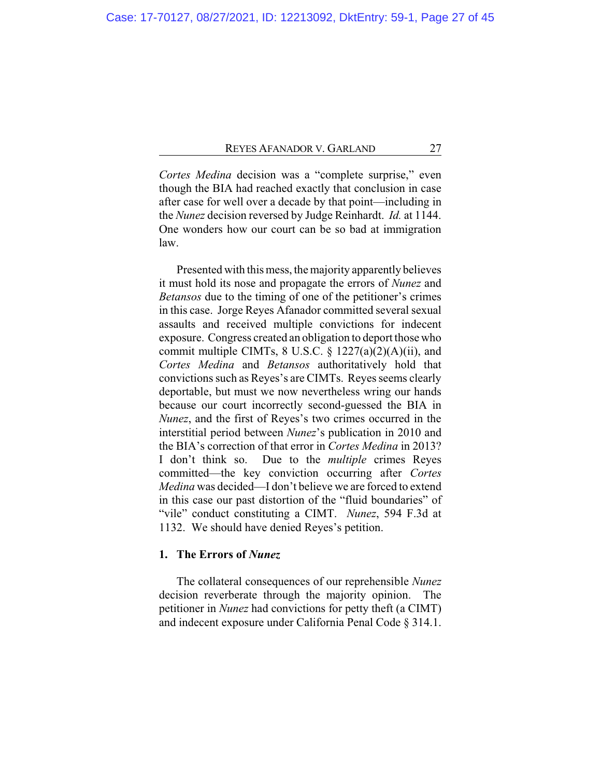*Cortes Medina* decision was a "complete surprise," even though the BIA had reached exactly that conclusion in case after case for well over a decade by that point—including in the *Nunez* decision reversed by Judge Reinhardt. *Id.* at 1144. One wonders how our court can be so bad at immigration law.

Presented with this mess, the majority apparently believes it must hold its nose and propagate the errors of *Nunez* and *Betansos* due to the timing of one of the petitioner's crimes in this case. Jorge Reyes Afanador committed several sexual assaults and received multiple convictions for indecent exposure. Congress created an obligation to deport those who commit multiple CIMTs, 8 U.S.C. § 1227(a)(2)(A)(ii), and *Cortes Medina* and *Betansos* authoritatively hold that convictions such as Reyes's are CIMTs. Reyes seems clearly deportable, but must we now nevertheless wring our hands because our court incorrectly second-guessed the BIA in *Nunez*, and the first of Reyes's two crimes occurred in the interstitial period between *Nunez*'s publication in 2010 and the BIA's correction of that error in *Cortes Medina* in 2013? I don't think so. Due to the *multiple* crimes Reyes committed—the key conviction occurring after *Cortes Medina* was decided—I don't believe we are forced to extend in this case our past distortion of the "fluid boundaries" of "vile" conduct constituting a CIMT. *Nunez*, 594 F.3d at 1132. We should have denied Reyes's petition.

# **1. The Errors of** *Nunez*

The collateral consequences of our reprehensible *Nunez* decision reverberate through the majority opinion. The petitioner in *Nunez* had convictions for petty theft (a CIMT) and indecent exposure under California Penal Code § 314.1.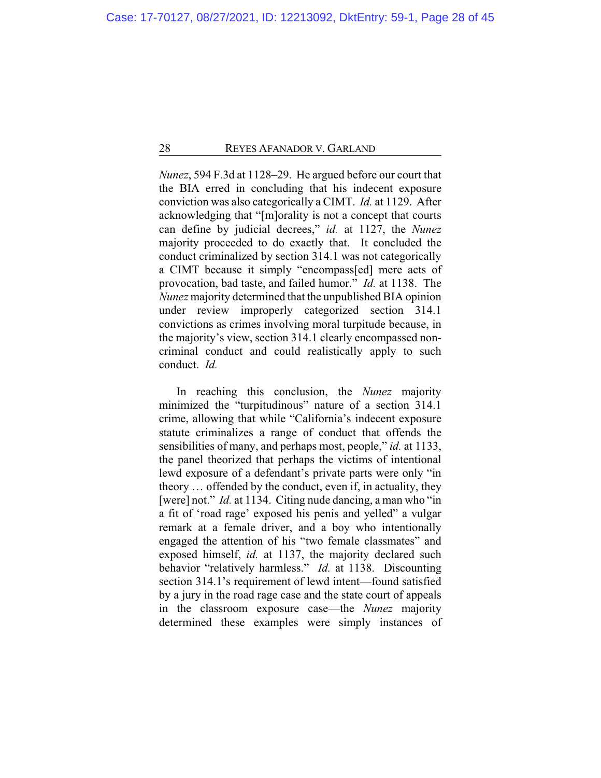*Nunez*, 594 F.3d at 1128–29. He argued before our court that the BIA erred in concluding that his indecent exposure conviction was also categorically a CIMT. *Id.* at 1129. After acknowledging that "[m]orality is not a concept that courts can define by judicial decrees," *id.* at 1127, the *Nunez* majority proceeded to do exactly that. It concluded the conduct criminalized by section 314.1 was not categorically a CIMT because it simply "encompass[ed] mere acts of provocation, bad taste, and failed humor." *Id.* at 1138. The *Nunez* majority determined that the unpublished BIA opinion under review improperly categorized section 314.1 convictions as crimes involving moral turpitude because, in the majority's view, section 314.1 clearly encompassed noncriminal conduct and could realistically apply to such conduct. *Id.*

In reaching this conclusion, the *Nunez* majority minimized the "turpitudinous" nature of a section 314.1 crime, allowing that while "California's indecent exposure statute criminalizes a range of conduct that offends the sensibilities of many, and perhaps most, people," *id.* at 1133, the panel theorized that perhaps the victims of intentional lewd exposure of a defendant's private parts were only "in theory … offended by the conduct, even if, in actuality, they [were] not." *Id.* at 1134. Citing nude dancing, a man who "in a fit of 'road rage' exposed his penis and yelled" a vulgar remark at a female driver, and a boy who intentionally engaged the attention of his "two female classmates" and exposed himself, *id.* at 1137, the majority declared such behavior "relatively harmless." *Id.* at 1138. Discounting section 314.1's requirement of lewd intent—found satisfied by a jury in the road rage case and the state court of appeals in the classroom exposure case—the *Nunez* majority determined these examples were simply instances of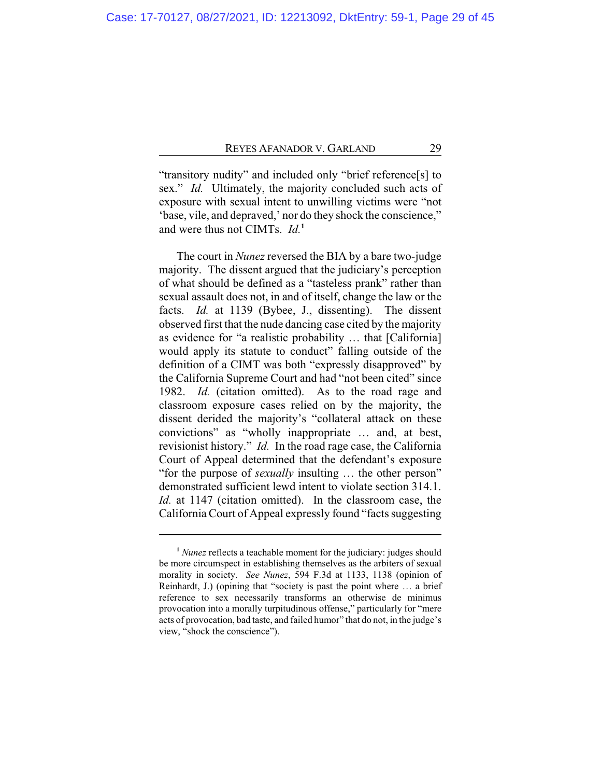"transitory nudity" and included only "brief reference[s] to sex." *Id.* Ultimately, the majority concluded such acts of exposure with sexual intent to unwilling victims were "not 'base, vile, and depraved,' nor do they shock the conscience," and were thus not CIMTs. *Id.***<sup>1</sup>**

The court in *Nunez* reversed the BIA by a bare two-judge majority. The dissent argued that the judiciary's perception of what should be defined as a "tasteless prank" rather than sexual assault does not, in and of itself, change the law or the facts. *Id.* at 1139 (Bybee, J., dissenting). The dissent observed first that the nude dancing case cited by the majority as evidence for "a realistic probability … that [California] would apply its statute to conduct" falling outside of the definition of a CIMT was both "expressly disapproved" by the California Supreme Court and had "not been cited" since 1982. *Id.* (citation omitted). As to the road rage and classroom exposure cases relied on by the majority, the dissent derided the majority's "collateral attack on these convictions" as "wholly inappropriate … and, at best, revisionist history." *Id.* In the road rage case, the California Court of Appeal determined that the defendant's exposure "for the purpose of *sexually* insulting … the other person" demonstrated sufficient lewd intent to violate section 314.1. *Id.* at 1147 (citation omitted). In the classroom case, the California Court of Appeal expressly found "facts suggesting

**<sup>1</sup>** *Nunez* reflects a teachable moment for the judiciary: judges should be more circumspect in establishing themselves as the arbiters of sexual morality in society. *See Nunez*, 594 F.3d at 1133, 1138 (opinion of Reinhardt, J.) (opining that "society is past the point where … a brief reference to sex necessarily transforms an otherwise de minimus provocation into a morally turpitudinous offense," particularly for "mere acts of provocation, bad taste, and failed humor" that do not, in the judge's view, "shock the conscience").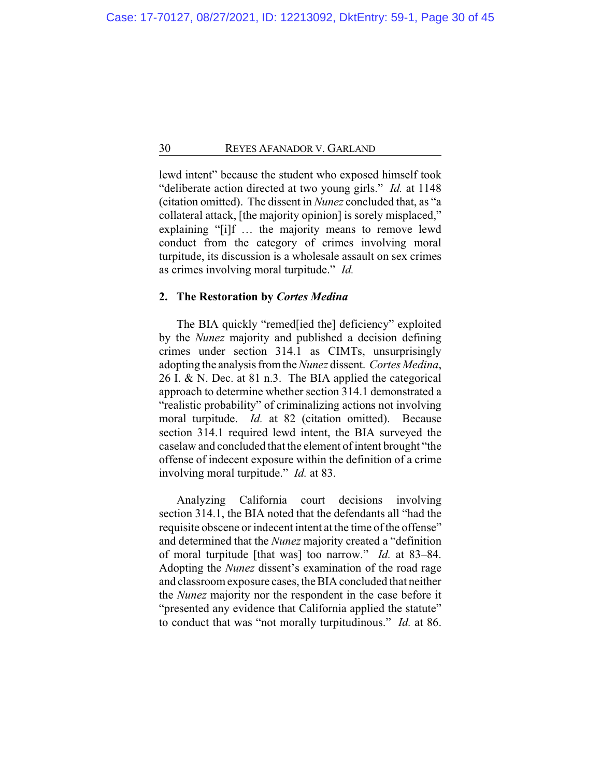lewd intent" because the student who exposed himself took "deliberate action directed at two young girls." *Id.* at 1148 (citation omitted). The dissent in *Nunez* concluded that, as "a collateral attack, [the majority opinion] is sorely misplaced," explaining "[i]f … the majority means to remove lewd conduct from the category of crimes involving moral turpitude, its discussion is a wholesale assault on sex crimes as crimes involving moral turpitude." *Id.*

# **2. The Restoration by** *Cortes Medina*

The BIA quickly "remed[ied the] deficiency" exploited by the *Nunez* majority and published a decision defining crimes under section 314.1 as CIMTs, unsurprisingly adopting the analysis fromthe *Nunez* dissent. *Cortes Medina*, 26 I. & N. Dec. at 81 n.3. The BIA applied the categorical approach to determine whether section 314.1 demonstrated a "realistic probability" of criminalizing actions not involving moral turpitude. *Id.* at 82 (citation omitted). Because section 314.1 required lewd intent, the BIA surveyed the caselaw and concluded that the element of intent brought "the offense of indecent exposure within the definition of a crime involving moral turpitude." *Id.* at 83.

Analyzing California court decisions involving section 314.1, the BIA noted that the defendants all "had the requisite obscene or indecent intent at the time of the offense" and determined that the *Nunez* majority created a "definition of moral turpitude [that was] too narrow." *Id.* at 83–84. Adopting the *Nunez* dissent's examination of the road rage and classroom exposure cases, the BIA concluded that neither the *Nunez* majority nor the respondent in the case before it "presented any evidence that California applied the statute" to conduct that was "not morally turpitudinous." *Id.* at 86.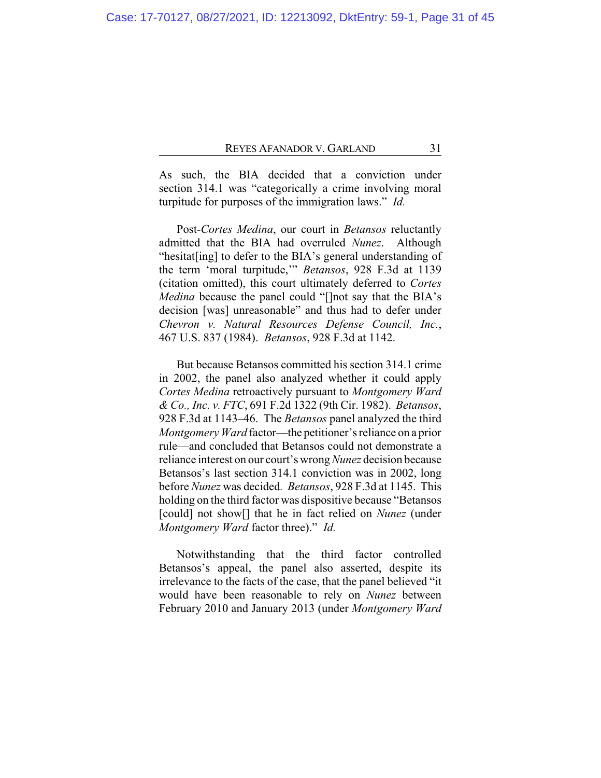As such, the BIA decided that a conviction under section 314.1 was "categorically a crime involving moral turpitude for purposes of the immigration laws." *Id.*

Post-*Cortes Medina*, our court in *Betansos* reluctantly admitted that the BIA had overruled *Nunez*. Although "hesitat[ing] to defer to the BIA's general understanding of the term 'moral turpitude,'" *Betansos*, 928 F.3d at 1139 (citation omitted), this court ultimately deferred to *Cortes Medina* because the panel could "[]not say that the BIA's decision [was] unreasonable" and thus had to defer under *Chevron v. Natural Resources Defense Council, Inc.*, 467 U.S. 837 (1984). *Betansos*, 928 F.3d at 1142.

But because Betansos committed his section 314.1 crime in 2002, the panel also analyzed whether it could apply *Cortes Medina* retroactively pursuant to *Montgomery Ward & Co., Inc. v. FTC*, 691 F.2d 1322 (9th Cir. 1982). *Betansos*, 928 F.3d at 1143–46. The *Betansos* panel analyzed the third *Montgomery Ward* factor—the petitioner's reliance on a prior rule—and concluded that Betansos could not demonstrate a reliance interest on our court's wrong *Nunez* decision because Betansos's last section 314.1 conviction was in 2002, long before *Nunez* was decided*. Betansos*, 928 F.3d at 1145. This holding on the third factor was dispositive because "Betansos [could] not show[] that he in fact relied on *Nunez* (under *Montgomery Ward* factor three)." *Id.*

Notwithstanding that the third factor controlled Betansos's appeal, the panel also asserted, despite its irrelevance to the facts of the case, that the panel believed "it would have been reasonable to rely on *Nunez* between February 2010 and January 2013 (under *Montgomery Ward*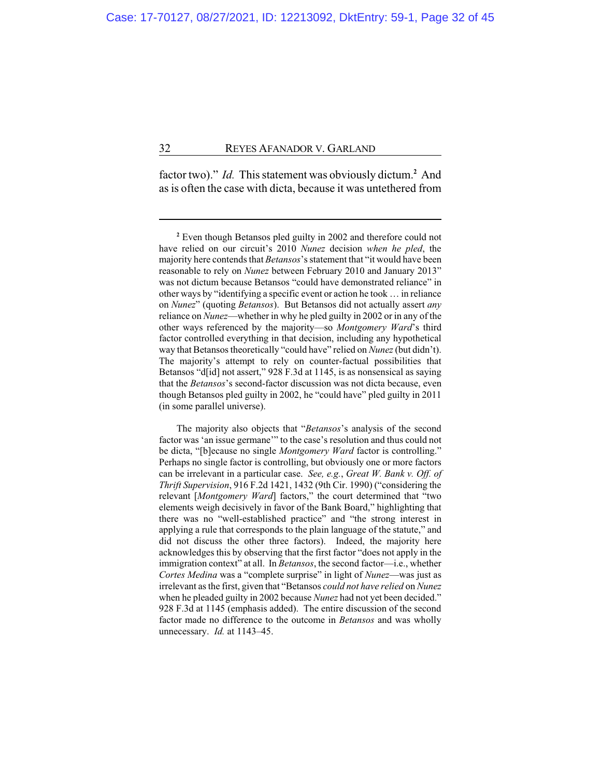factor two)." *Id.* This statement was obviously dictum. **<sup>2</sup>** And as is often the case with dicta, because it was untethered from

**<sup>2</sup>** Even though Betansos pled guilty in 2002 and therefore could not have relied on our circuit's 2010 *Nunez* decision *when he pled*, the majority here contends that *Betansos*'s statement that "it would have been reasonable to rely on *Nunez* between February 2010 and January 2013" was not dictum because Betansos "could have demonstrated reliance" in other ways by "identifying a specific event or action he took … in reliance on *Nunez*" (quoting *Betansos*). But Betansos did not actually assert *any* reliance on *Nunez*—whether in why he pled guilty in 2002 or in any of the other ways referenced by the majority—so *Montgomery Ward*'s third factor controlled everything in that decision, including any hypothetical way that Betansos theoretically "could have" relied on *Nunez* (but didn't). The majority's attempt to rely on counter-factual possibilities that Betansos "d[id] not assert," 928 F.3d at 1145, is as nonsensical as saying that the *Betansos*'s second-factor discussion was not dicta because, even though Betansos pled guilty in 2002, he "could have" pled guilty in 2011 (in some parallel universe).

The majority also objects that "*Betansos*'s analysis of the second factor was 'an issue germane'" to the case's resolution and thus could not be dicta, "[b]ecause no single *Montgomery Ward* factor is controlling." Perhaps no single factor is controlling, but obviously one or more factors can be irrelevant in a particular case. *See, e.g.*, *Great W. Bank v. Off. of Thrift Supervision*, 916 F.2d 1421, 1432 (9th Cir. 1990) ("considering the relevant [*Montgomery Ward*] factors," the court determined that "two elements weigh decisively in favor of the Bank Board," highlighting that there was no "well-established practice" and "the strong interest in applying a rule that corresponds to the plain language of the statute," and did not discuss the other three factors). Indeed, the majority here acknowledges this by observing that the first factor "does not apply in the immigration context" at all. In *Betansos*, the second factor—i.e., whether *Cortes Medina* was a "complete surprise" in light of *Nunez*—was just as irrelevant as the first, given that "Betansos *could not have relied* on *Nunez* when he pleaded guilty in 2002 because *Nunez* had not yet been decided." 928 F.3d at 1145 (emphasis added). The entire discussion of the second factor made no difference to the outcome in *Betansos* and was wholly unnecessary. *Id.* at 1143–45.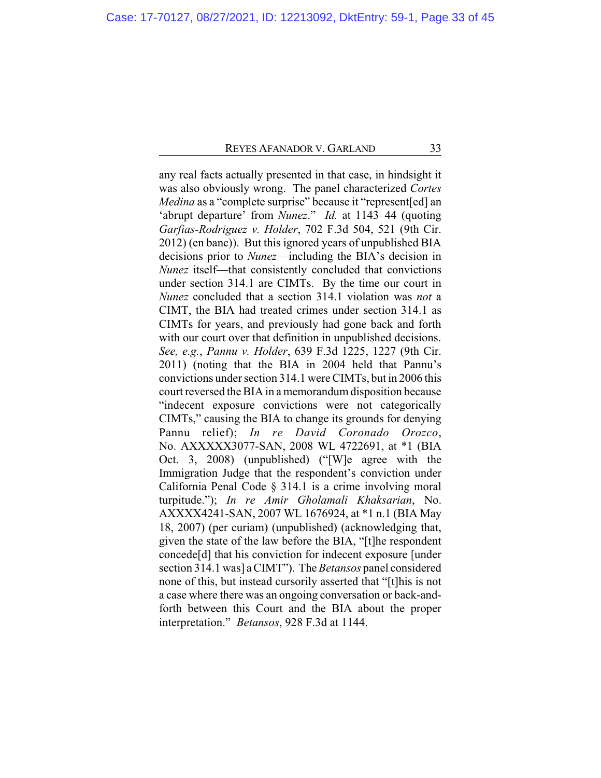any real facts actually presented in that case, in hindsight it was also obviously wrong. The panel characterized *Cortes Medina* as a "complete surprise" because it "represent[ed] an 'abrupt departure' from *Nunez*." *Id.* at 1143–44 (quoting *Garfias-Rodriguez v. Holder*, 702 F.3d 504, 521 (9th Cir. 2012) (en banc)). But this ignored years of unpublished BIA decisions prior to *Nunez*—including the BIA's decision in *Nunez* itself—that consistently concluded that convictions under section 314.1 are CIMTs. By the time our court in *Nunez* concluded that a section 314.1 violation was *not* a CIMT, the BIA had treated crimes under section 314.1 as CIMTs for years, and previously had gone back and forth with our court over that definition in unpublished decisions. *See, e.g.*, *Pannu v. Holder*, 639 F.3d 1225, 1227 (9th Cir. 2011) (noting that the BIA in 2004 held that Pannu's convictions under section 314.1 were CIMTs, but in 2006 this court reversed the BIA in a memorandum disposition because "indecent exposure convictions were not categorically CIMTs," causing the BIA to change its grounds for denying Pannu relief); *In re David Coronado Orozco*, No. AXXXXX3077-SAN, 2008 WL 4722691, at \*1 (BIA Oct. 3, 2008) (unpublished) ("[W]e agree with the Immigration Judge that the respondent's conviction under California Penal Code § 314.1 is a crime involving moral turpitude."); *In re Amir Gholamali Khaksarian*, No. AXXXX4241-SAN, 2007 WL 1676924, at \*1 n.1 (BIA May 18, 2007) (per curiam) (unpublished) (acknowledging that, given the state of the law before the BIA, "[t]he respondent concede[d] that his conviction for indecent exposure [under section 314.1 was] a CIMT"). The *Betansos* panel considered none of this, but instead cursorily asserted that "[t]his is not a case where there was an ongoing conversation or back-andforth between this Court and the BIA about the proper interpretation." *Betansos*, 928 F.3d at 1144.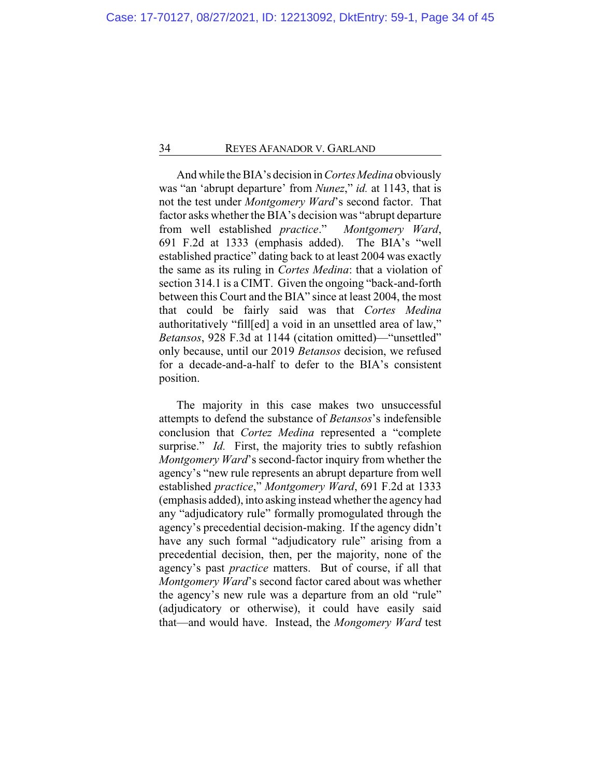And while the BIA's decision in*Cortes Medina* obviously was "an 'abrupt departure' from *Nunez*," *id.* at 1143, that is not the test under *Montgomery Ward*'s second factor. That factor asks whether the BIA's decision was "abrupt departure from well established *practice*." *Montgomery Ward*, 691 F.2d at 1333 (emphasis added). The BIA's "well established practice" dating back to at least 2004 was exactly the same as its ruling in *Cortes Medina*: that a violation of section 314.1 is a CIMT. Given the ongoing "back-and-forth between this Court and the BIA" since at least 2004, the most that could be fairly said was that *Cortes Medina* authoritatively "fill[ed] a void in an unsettled area of law," *Betansos*, 928 F.3d at 1144 (citation omitted)—"unsettled" only because, until our 2019 *Betansos* decision, we refused for a decade-and-a-half to defer to the BIA's consistent position.

The majority in this case makes two unsuccessful attempts to defend the substance of *Betansos*'s indefensible conclusion that *Cortez Medina* represented a "complete surprise." *Id.* First, the majority tries to subtly refashion *Montgomery Ward*'s second-factor inquiry from whether the agency's "new rule represents an abrupt departure from well established *practice*," *Montgomery Ward*, 691 F.2d at 1333 (emphasis added), into asking instead whether the agency had any "adjudicatory rule" formally promogulated through the agency's precedential decision-making. If the agency didn't have any such formal "adjudicatory rule" arising from a precedential decision, then, per the majority, none of the agency's past *practice* matters. But of course, if all that *Montgomery Ward*'s second factor cared about was whether the agency's new rule was a departure from an old "rule" (adjudicatory or otherwise), it could have easily said that—and would have. Instead, the *Mongomery Ward* test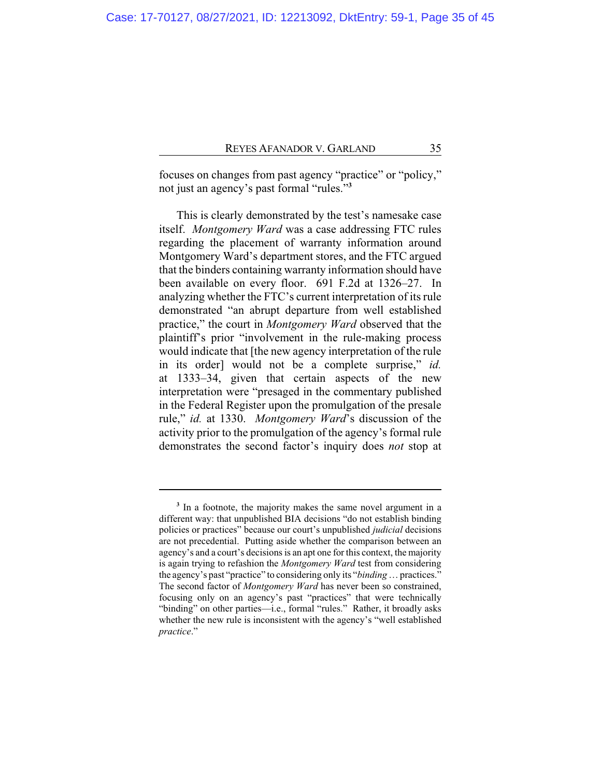focuses on changes from past agency "practice" or "policy," not just an agency's past formal "rules."**<sup>3</sup>**

This is clearly demonstrated by the test's namesake case itself. *Montgomery Ward* was a case addressing FTC rules regarding the placement of warranty information around Montgomery Ward's department stores, and the FTC argued that the binders containing warranty information should have been available on every floor. 691 F.2d at 1326–27. In analyzing whether the FTC's current interpretation of its rule demonstrated "an abrupt departure from well established practice," the court in *Montgomery Ward* observed that the plaintiff's prior "involvement in the rule-making process would indicate that [the new agency interpretation of the rule in its order] would not be a complete surprise," *id.* at 1333–34, given that certain aspects of the new interpretation were "presaged in the commentary published in the Federal Register upon the promulgation of the presale rule," *id.* at 1330. *Montgomery Ward*'s discussion of the activity prior to the promulgation of the agency's formal rule demonstrates the second factor's inquiry does *not* stop at

<sup>&</sup>lt;sup>3</sup> In a footnote, the majority makes the same novel argument in a different way: that unpublished BIA decisions "do not establish binding policies or practices" because our court's unpublished *judicial* decisions are not precedential. Putting aside whether the comparison between an agency's and a court's decisions is an apt one for this context, the majority is again trying to refashion the *Montgomery Ward* test from considering the agency's past "practice" to considering only its "*binding*… practices." The second factor of *Montgomery Ward* has never been so constrained, focusing only on an agency's past "practices" that were technically "binding" on other parties—i.e., formal "rules." Rather, it broadly asks whether the new rule is inconsistent with the agency's "well established *practice*."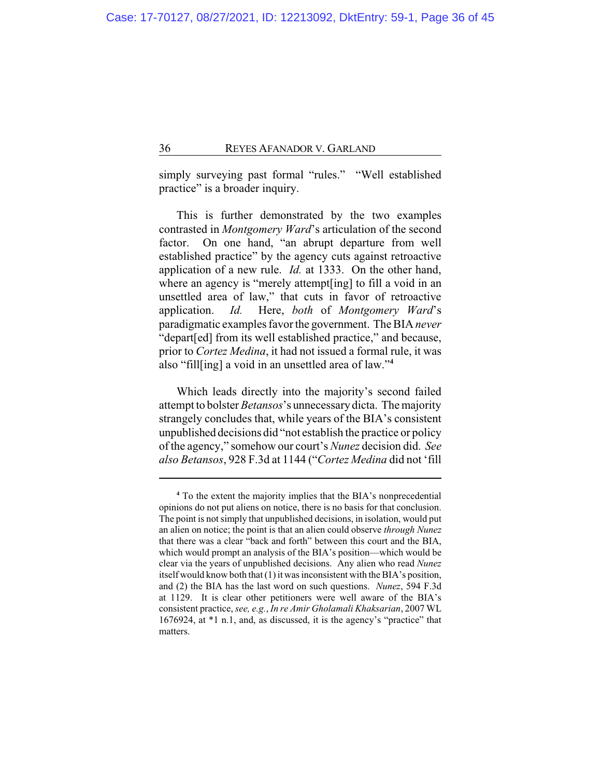simply surveying past formal "rules." "Well established practice" is a broader inquiry.

This is further demonstrated by the two examples contrasted in *Montgomery Ward*'s articulation of the second factor. On one hand, "an abrupt departure from well established practice" by the agency cuts against retroactive application of a new rule. *Id.* at 1333. On the other hand, where an agency is "merely attempt[ing] to fill a void in an unsettled area of law," that cuts in favor of retroactive application. *Id.* Here, *both* of *Montgomery Ward*'s paradigmatic examples favor the government. The BIA *never* "depart[ed] from its well established practice," and because, prior to *Cortez Medina*, it had not issued a formal rule, it was also "fill[ing] a void in an unsettled area of law."**<sup>4</sup>**

Which leads directly into the majority's second failed attempt to bolster *Betansos*'s unnecessary dicta. The majority strangely concludes that, while years of the BIA's consistent unpublished decisions did "not establish the practice or policy of the agency," somehow our court's *Nunez* decision did. *See also Betansos*, 928 F.3d at 1144 ("*Cortez Medina* did not 'fill

**<sup>4</sup>** To the extent the majority implies that the BIA's nonprecedential opinions do not put aliens on notice, there is no basis for that conclusion. The point is not simply that unpublished decisions, in isolation, would put an alien on notice; the point is that an alien could observe *through Nunez* that there was a clear "back and forth" between this court and the BIA, which would prompt an analysis of the BIA's position—which would be clear via the years of unpublished decisions. Any alien who read *Nunez* itself would know both that (1) it was inconsistent with the BIA's position, and (2) the BIA has the last word on such questions. *Nunez*, 594 F.3d at 1129. It is clear other petitioners were well aware of the BIA's consistent practice, *see, e.g.*, *In re Amir Gholamali Khaksarian*, 2007 WL 1676924, at \*1 n.1, and, as discussed, it is the agency's "practice" that matters.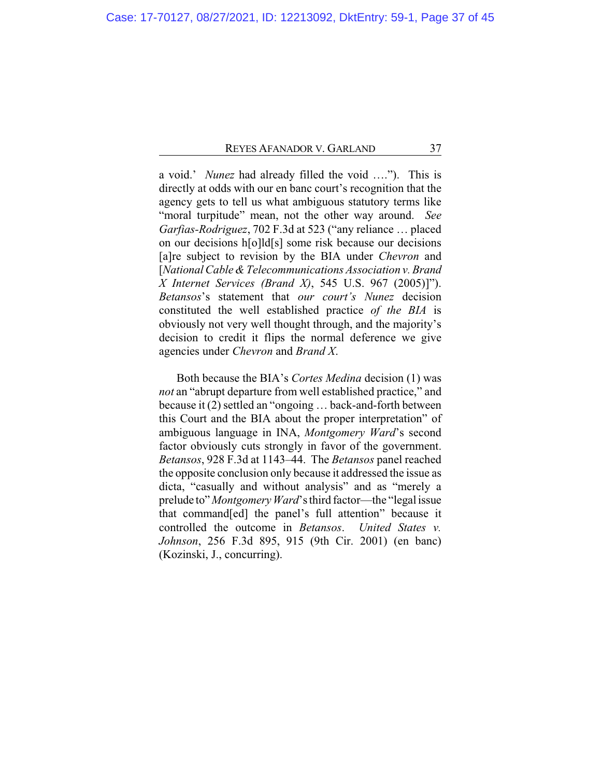a void.' *Nunez* had already filled the void …."). This is directly at odds with our en banc court's recognition that the agency gets to tell us what ambiguous statutory terms like "moral turpitude" mean, not the other way around. *See Garfias-Rodriguez*, 702 F.3d at 523 ("any reliance … placed on our decisions h[o]ld[s] some risk because our decisions [a]re subject to revision by the BIA under *Chevron* and [*National Cable & Telecommunications Association v.Brand X Internet Services (Brand X)*, 545 U.S. 967 (2005)]"). *Betansos*'s statement that *our court's Nunez* decision constituted the well established practice *of the BIA* is obviously not very well thought through, and the majority's decision to credit it flips the normal deference we give agencies under *Chevron* and *Brand X*.

Both because the BIA's *Cortes Medina* decision (1) was *not* an "abrupt departure from well established practice," and because it (2) settled an "ongoing … back-and-forth between this Court and the BIA about the proper interpretation" of ambiguous language in INA, *Montgomery Ward*'s second factor obviously cuts strongly in favor of the government. *Betansos*, 928 F.3d at 1143–44. The *Betansos* panel reached the opposite conclusion only because it addressed the issue as dicta, "casually and without analysis" and as "merely a prelude to" *Montgomery Ward*'s third factor—the "legal issue that command[ed] the panel's full attention" because it controlled the outcome in *Betansos*. *United States v. Johnson*, 256 F.3d 895, 915 (9th Cir. 2001) (en banc) (Kozinski, J., concurring).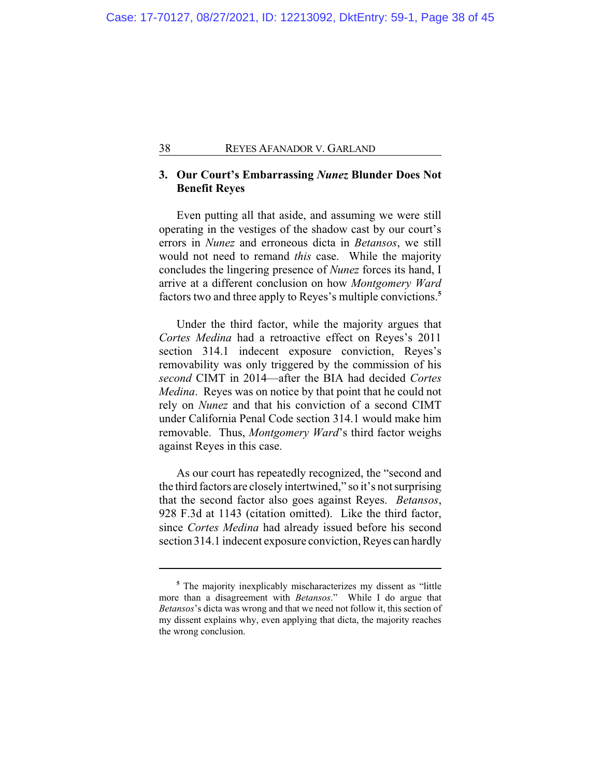# **3. Our Court's Embarrassing** *Nunez* **Blunder Does Not Benefit Reyes**

Even putting all that aside, and assuming we were still operating in the vestiges of the shadow cast by our court's errors in *Nunez* and erroneous dicta in *Betansos*, we still would not need to remand *this* case. While the majority concludes the lingering presence of *Nunez* forces its hand, I arrive at a different conclusion on how *Montgomery Ward* factors two and three apply to Reyes's multiple convictions.**<sup>5</sup>**

Under the third factor, while the majority argues that *Cortes Medina* had a retroactive effect on Reyes's 2011 section 314.1 indecent exposure conviction, Reyes's removability was only triggered by the commission of his *second* CIMT in 2014—after the BIA had decided *Cortes Medina*. Reyes was on notice by that point that he could not rely on *Nunez* and that his conviction of a second CIMT under California Penal Code section 314.1 would make him removable. Thus, *Montgomery Ward*'s third factor weighs against Reyes in this case.

As our court has repeatedly recognized, the "second and the third factors are closely intertwined," so it's not surprising that the second factor also goes against Reyes. *Betansos*, 928 F.3d at 1143 (citation omitted). Like the third factor, since *Cortes Medina* had already issued before his second section 314.1 indecent exposure conviction, Reyes can hardly

**<sup>5</sup>** The majority inexplicably mischaracterizes my dissent as "little more than a disagreement with *Betansos*." While I do argue that *Betansos*'s dicta was wrong and that we need not follow it, this section of my dissent explains why, even applying that dicta, the majority reaches the wrong conclusion.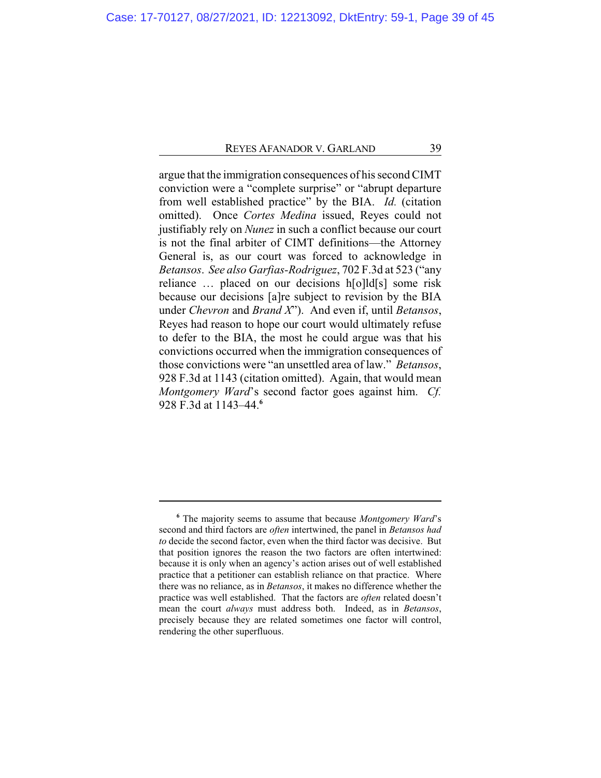argue that the immigration consequences of his second CIMT conviction were a "complete surprise" or "abrupt departure from well established practice" by the BIA. *Id.* (citation omitted). Once *Cortes Medina* issued, Reyes could not justifiably rely on *Nunez* in such a conflict because our court is not the final arbiter of CIMT definitions—the Attorney General is, as our court was forced to acknowledge in *Betansos*. *See also Garfias-Rodriguez*, 702 F.3d at 523 ("any reliance … placed on our decisions h[o]ld[s] some risk because our decisions [a]re subject to revision by the BIA under *Chevron* and *Brand X*"). And even if, until *Betansos*, Reyes had reason to hope our court would ultimately refuse to defer to the BIA, the most he could argue was that his convictions occurred when the immigration consequences of those convictions were "an unsettled area of law." *Betansos*, 928 F.3d at 1143 (citation omitted). Again, that would mean *Montgomery Ward*'s second factor goes against him. *Cf.* 928 F.3d at 1143–44.**<sup>6</sup>**

**<sup>6</sup>** The majority seems to assume that because *Montgomery Ward*'s second and third factors are *often* intertwined, the panel in *Betansos had to* decide the second factor, even when the third factor was decisive. But that position ignores the reason the two factors are often intertwined: because it is only when an agency's action arises out of well established practice that a petitioner can establish reliance on that practice. Where there was no reliance, as in *Betansos*, it makes no difference whether the practice was well established. That the factors are *often* related doesn't mean the court *always* must address both. Indeed, as in *Betansos*, precisely because they are related sometimes one factor will control, rendering the other superfluous.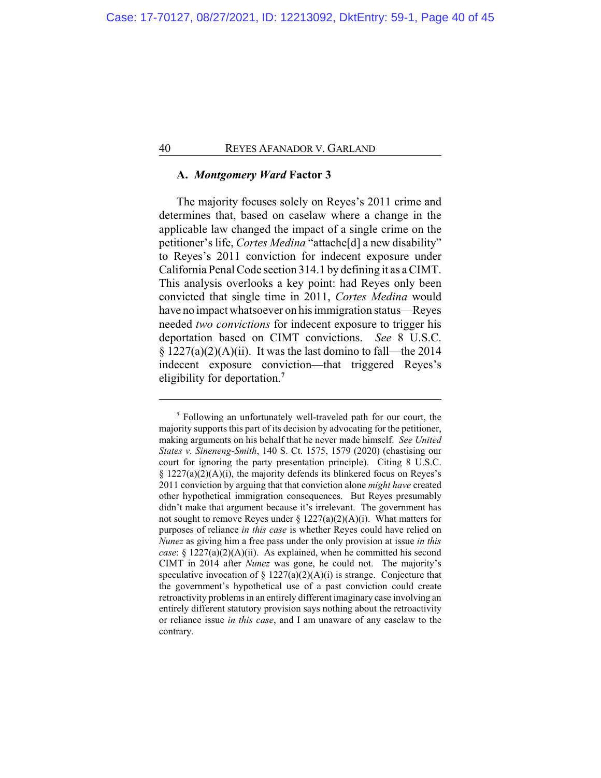# **A.** *Montgomery Ward* **Factor 3**

The majority focuses solely on Reyes's 2011 crime and determines that, based on caselaw where a change in the applicable law changed the impact of a single crime on the petitioner's life, *Cortes Medina* "attache[d] a new disability" to Reyes's 2011 conviction for indecent exposure under California Penal Code section 314.1 by defining it as a CIMT. This analysis overlooks a key point: had Reyes only been convicted that single time in 2011, *Cortes Medina* would have no impact whatsoever on his immigration status—Reyes needed *two convictions* for indecent exposure to trigger his deportation based on CIMT convictions. *See* 8 U.S.C.  $\S 1227(a)(2)(A)(ii)$ . It was the last domino to fall—the 2014 indecent exposure conviction—that triggered Reyes's eligibility for deportation.**<sup>7</sup>**

**<sup>7</sup>** Following an unfortunately well-traveled path for our court, the majority supports this part of its decision by advocating for the petitioner, making arguments on his behalf that he never made himself. *See United States v. Sineneng-Smith*, 140 S. Ct. 1575, 1579 (2020) (chastising our court for ignoring the party presentation principle). Citing 8 U.S.C.  $\S$  1227(a)(2)(A)(i), the majority defends its blinkered focus on Reyes's 2011 conviction by arguing that that conviction alone *might have* created other hypothetical immigration consequences. But Reyes presumably didn't make that argument because it's irrelevant. The government has not sought to remove Reyes under  $\S 1227(a)(2)(A)(i)$ . What matters for purposes of reliance *in this case* is whether Reyes could have relied on *Nunez* as giving him a free pass under the only provision at issue *in this case*: § 1227(a)(2)(A)(ii). As explained, when he committed his second CIMT in 2014 after *Nunez* was gone, he could not. The majority's speculative invocation of  $\S 1227(a)(2)(A)(i)$  is strange. Conjecture that the government's hypothetical use of a past conviction could create retroactivity problems in an entirely different imaginary case involving an entirely different statutory provision says nothing about the retroactivity or reliance issue *in this case*, and I am unaware of any caselaw to the contrary.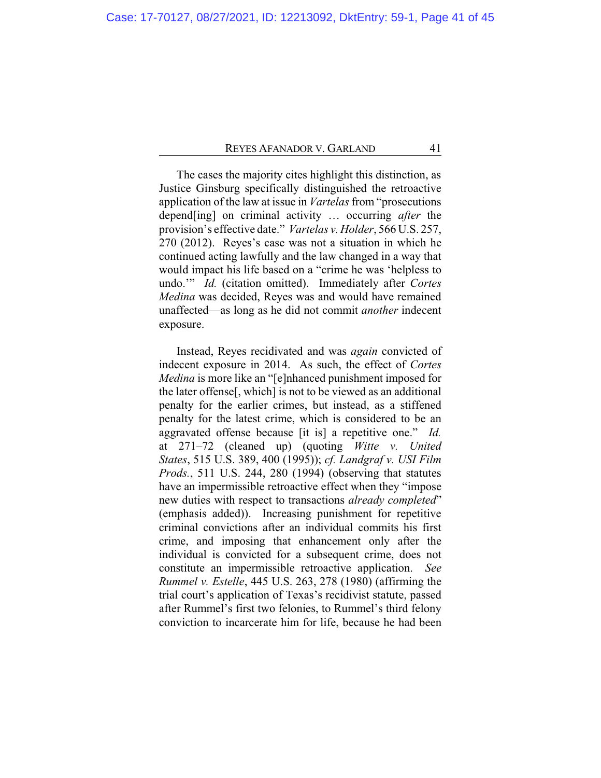The cases the majority cites highlight this distinction, as Justice Ginsburg specifically distinguished the retroactive application of the law at issue in *Vartelas* from "prosecutions depend[ing] on criminal activity … occurring *after* the provision's effective date." *Vartelas v. Holder*, 566 U.S. 257, 270 (2012). Reyes's case was not a situation in which he continued acting lawfully and the law changed in a way that would impact his life based on a "crime he was 'helpless to undo.'" *Id.* (citation omitted). Immediately after *Cortes Medina* was decided, Reyes was and would have remained unaffected—as long as he did not commit *another* indecent exposure.

Instead, Reyes recidivated and was *again* convicted of indecent exposure in 2014. As such, the effect of *Cortes Medina* is more like an "[e]nhanced punishment imposed for the later offense[, which] is not to be viewed as an additional penalty for the earlier crimes, but instead, as a stiffened penalty for the latest crime, which is considered to be an aggravated offense because [it is] a repetitive one." *Id.* at 271–72 (cleaned up) (quoting *Witte v. United States*, 515 U.S. 389, 400 (1995)); *cf. Landgraf v. USI Film Prods.*, 511 U.S. 244, 280 (1994) (observing that statutes have an impermissible retroactive effect when they "impose new duties with respect to transactions *already completed*" (emphasis added)). Increasing punishment for repetitive criminal convictions after an individual commits his first crime, and imposing that enhancement only after the individual is convicted for a subsequent crime, does not constitute an impermissible retroactive application. *See Rummel v. Estelle*, 445 U.S. 263, 278 (1980) (affirming the trial court's application of Texas's recidivist statute, passed after Rummel's first two felonies, to Rummel's third felony conviction to incarcerate him for life, because he had been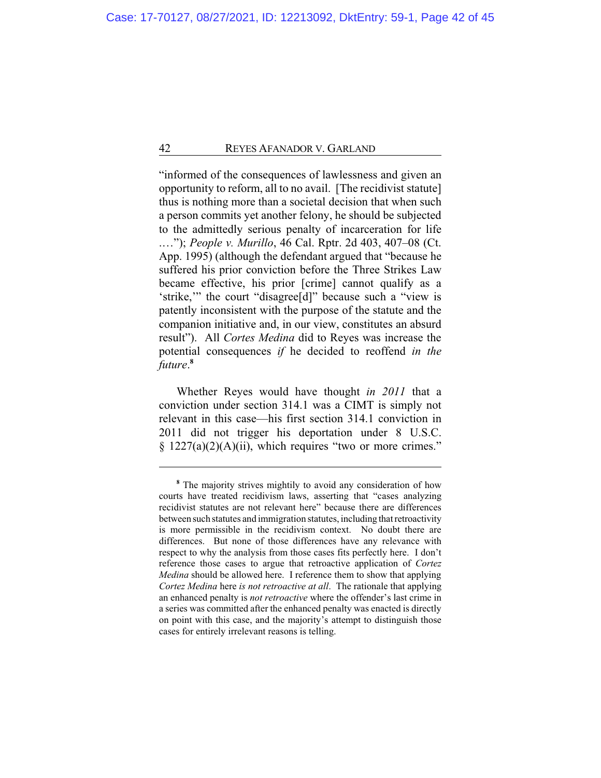"informed of the consequences of lawlessness and given an opportunity to reform, all to no avail. [The recidivist statute] thus is nothing more than a societal decision that when such a person commits yet another felony, he should be subjected to the admittedly serious penalty of incarceration for life .…"); *People v. Murillo*, 46 Cal. Rptr. 2d 403, 407–08 (Ct. App. 1995) (although the defendant argued that "because he suffered his prior conviction before the Three Strikes Law became effective, his prior [crime] cannot qualify as a 'strike,'" the court "disagree[d]" because such a "view is patently inconsistent with the purpose of the statute and the companion initiative and, in our view, constitutes an absurd result"). All *Cortes Medina* did to Reyes was increase the potential consequences *if* he decided to reoffend *in the future*. **8**

Whether Reyes would have thought *in 2011* that a conviction under section 314.1 was a CIMT is simply not relevant in this case—his first section 314.1 conviction in 2011 did not trigger his deportation under 8 U.S.C.  $§$  1227(a)(2)(A)(ii), which requires "two or more crimes."

**<sup>8</sup>** The majority strives mightily to avoid any consideration of how courts have treated recidivism laws, asserting that "cases analyzing recidivist statutes are not relevant here" because there are differences between such statutes and immigration statutes, including that retroactivity is more permissible in the recidivism context. No doubt there are differences. But none of those differences have any relevance with respect to why the analysis from those cases fits perfectly here. I don't reference those cases to argue that retroactive application of *Cortez Medina* should be allowed here. I reference them to show that applying *Cortez Medina* here *is not retroactive at all*. The rationale that applying an enhanced penalty is *not retroactive* where the offender's last crime in a series was committed after the enhanced penalty was enacted is directly on point with this case, and the majority's attempt to distinguish those cases for entirely irrelevant reasons is telling.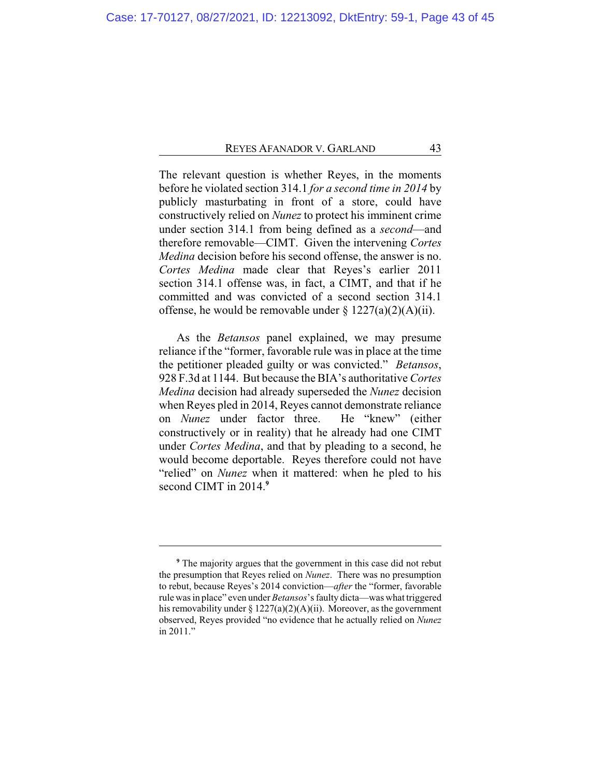The relevant question is whether Reyes, in the moments before he violated section 314.1 *for a second time in 2014* by publicly masturbating in front of a store, could have constructively relied on *Nunez* to protect his imminent crime under section 314.1 from being defined as a *second*—and therefore removable—CIMT. Given the intervening *Cortes Medina* decision before his second offense, the answer is no. *Cortes Medina* made clear that Reyes's earlier 2011 section 314.1 offense was, in fact, a CIMT, and that if he committed and was convicted of a second section 314.1 offense, he would be removable under  $\S 1227(a)(2)(A)(ii)$ .

As the *Betansos* panel explained, we may presume reliance if the "former, favorable rule was in place at the time the petitioner pleaded guilty or was convicted." *Betansos*, 928 F.3d at 1144. But because the BIA's authoritative *Cortes Medina* decision had already superseded the *Nunez* decision when Reyes pled in 2014, Reyes cannot demonstrate reliance on *Nunez* under factor three. He "knew" (either constructively or in reality) that he already had one CIMT under *Cortes Medina*, and that by pleading to a second, he would become deportable. Reyes therefore could not have "relied" on *Nunez* when it mattered: when he pled to his second CIMT in 2014.**<sup>9</sup>**

**<sup>9</sup>** The majority argues that the government in this case did not rebut the presumption that Reyes relied on *Nunez*. There was no presumption to rebut, because Reyes's 2014 conviction—*after* the "former, favorable rule was in place" even under *Betansos*'s faulty dicta—was what triggered his removability under §  $1227(a)(2)(A)(ii)$ . Moreover, as the government observed, Reyes provided "no evidence that he actually relied on *Nunez* in 2011."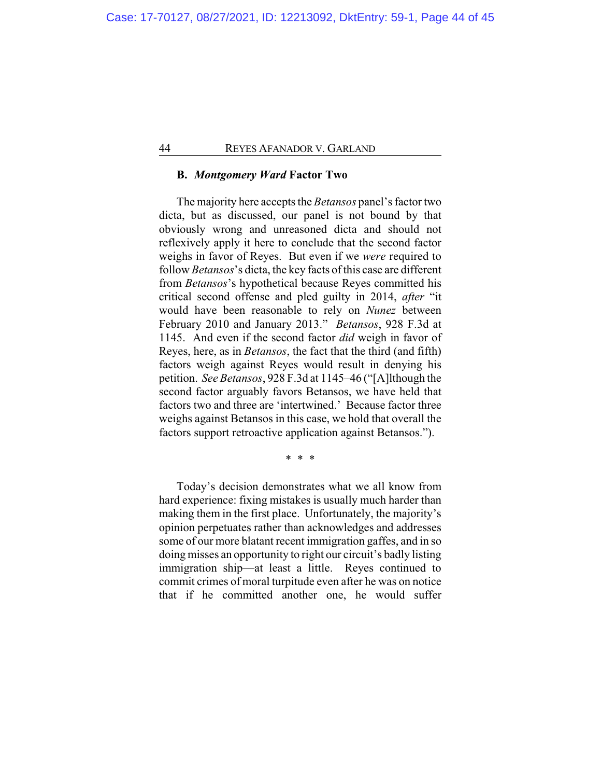# **B.** *Montgomery Ward* **Factor Two**

The majority here accepts the *Betansos* panel's factor two dicta, but as discussed, our panel is not bound by that obviously wrong and unreasoned dicta and should not reflexively apply it here to conclude that the second factor weighs in favor of Reyes. But even if we *were* required to follow *Betansos*'s dicta, the key facts of this case are different from *Betansos*'s hypothetical because Reyes committed his critical second offense and pled guilty in 2014, *after* "it would have been reasonable to rely on *Nunez* between February 2010 and January 2013." *Betansos*, 928 F.3d at 1145. And even if the second factor *did* weigh in favor of Reyes, here, as in *Betansos*, the fact that the third (and fifth) factors weigh against Reyes would result in denying his petition. *See Betansos*, 928 F.3d at 1145–46 ("[A]lthough the second factor arguably favors Betansos, we have held that factors two and three are 'intertwined.' Because factor three weighs against Betansos in this case, we hold that overall the factors support retroactive application against Betansos.").

\* \* \*

Today's decision demonstrates what we all know from hard experience: fixing mistakes is usually much harder than making them in the first place. Unfortunately, the majority's opinion perpetuates rather than acknowledges and addresses some of our more blatant recent immigration gaffes, and in so doing misses an opportunity to right our circuit's badly listing immigration ship—at least a little. Reyes continued to commit crimes of moral turpitude even after he was on notice that if he committed another one, he would suffer